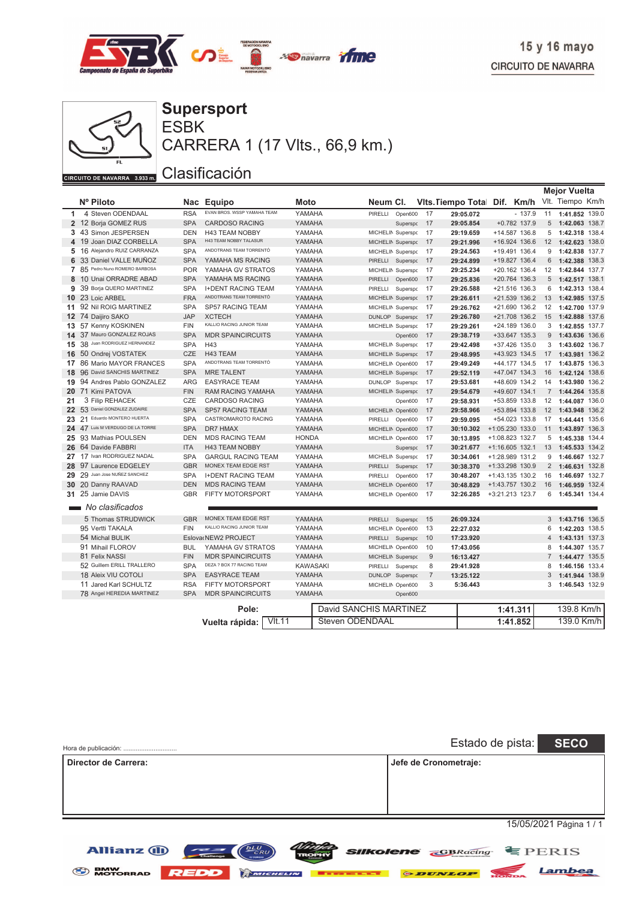

Lambea

 $\frac{1}{\sqrt{2}}$ 



**BMW**<br>MOTORRAD

**REDD** 

MICHELIN

ESBK **Supersport**

CARRERA 1 (17 Vlts., 66,9 km.)

### Clasificación

|              |                                  |            |                                   |                 |  |                        |          |                           |           |                   |                | <b>Mejor Vuelta</b> |       |
|--------------|----------------------------------|------------|-----------------------------------|-----------------|--|------------------------|----------|---------------------------|-----------|-------------------|----------------|---------------------|-------|
|              | Nº Piloto                        | <b>Nac</b> | <b>Equipo</b>                     | <b>Moto</b>     |  | Neum Cl.               |          | <b>Vits. Tiempo Total</b> |           | Dif. Km/h         |                | Vlt. Tiempo Km/h    |       |
| $\mathbf{1}$ | 4 Steven ODENDAAL                | <b>RSA</b> | EVAN BROS. WSSP YAMAHA TEAM       | YAMAHA          |  | PIRELLI                | Open600  | 17                        | 29:05.072 | $-137.9$          | 11             | 1:41.852 139.0      |       |
|              | 2 12 Borja GOMEZ RUS             | <b>SPA</b> | <b>CARDOSO RACING</b>             | YAMAHA          |  |                        | Superspc | 17                        | 29:05.854 | $+0.782$ 137.9    | 5              | 1:42.063 138.7      |       |
|              | 3 43 Simon JESPERSEN             | <b>DEN</b> | <b>H43 TEAM NOBBY</b>             | YAMAHA          |  | MICHELIN Superspc      |          | 17                        | 29:19.659 | +14.587 136.8     | 5              | 1:42.318 138.4      |       |
|              | 4 19 Joan DIAZ CORBELLA          | <b>SPA</b> | H43 TEAM NOBBY TALASUR            | YAMAHA          |  | MICHELIN Superspc      |          | 17                        | 29:21.996 | +16.924 136.6     | 12             | 1:42.623            | 138.0 |
|              | 5 16 Alejandro RUIZ CARRANZA     | <b>SPA</b> | ANDOTRANS TEAM TORRENTÓ           | YAMAHA          |  | MICHELIN Superspc      |          | 17                        | 29:24.563 | +19.491 136.4     | 9              | 1:42.838 137.7      |       |
| 6            | 33 Daniel VALLE MUÑOZ            | <b>SPA</b> | YAMAHA MS RACING                  | YAMAHA          |  | PIRELLI Superspc       |          | 17                        | 29:24.899 | +19.827 136.4     | 6              | 1:42.388 138.3      |       |
|              | 7 85 Pedro Nuno ROMERO BARBOSA   | <b>POR</b> | YAMAHA GV STRATOS                 | YAMAHA          |  | MICHELIN Superspc      |          | 17                        | 29:25.234 | +20.162 136.4     | 12             | 1:42.844 137.7      |       |
| 8            | 10 Unai ORRADRE ABAD             | <b>SPA</b> | YAMAHA MS RACING                  | YAMAHA          |  | PIRELLI                | Open600  | 17                        | 29:25.836 | +20.764 136.3     | 5              | 1:42.517            | 138.1 |
| 9            | 39 Borja QUERO MARTINEZ          | <b>SPA</b> | <b>I+DENT RACING TEAM</b>         | YAMAHA          |  | PIRELLI                | Superspo | 17                        | 29:26.588 | +21.516 136.3     | 6              | 1:42.313 138.4      |       |
|              | 10 23 Loic ARBEL                 | <b>FRA</b> | ANDOTRANS TEAM TORRENTÓ           | YAMAHA          |  | MICHELIN Superspc      |          | 17                        | 29:26.611 | +21.539 136.2     | 13             | 1:42.985 137.5      |       |
|              | 11 92 Nil ROIG MARTINEZ          | <b>SPA</b> | <b>SP57 RACING TEAM</b>           | YAMAHA          |  | MICHELIN Superspc      |          | 17                        | 29:26.762 | +21.690 136.2     | 12             | 1:42.700            | 137.9 |
|              | 12 74 Daijiro SAKO               | <b>JAP</b> | <b>XCTECH</b>                     | YAMAHA          |  | DUNLOP Superspo        |          | 17                        | 29:26.780 | +21.708 136.2     | 15             | 1:42.888            | 137.6 |
|              | 13 57 Kenny KOSKINEN             | <b>FIN</b> | KALLIO RACING JUNIOR TEAM         | YAMAHA          |  | MICHELIN Superspo      |          | 17                        | 29:29.261 | +24.189 136.0     | 3              | 1:42.855            | 137.7 |
|              | 14 37 Mauro GONZALEZ ROJAS       | <b>SPA</b> | <b>MDR SPAINCIRCUITS</b>          | YAMAHA          |  |                        | Open600  | 17                        | 29:38.719 | +33.647 135.3     | 9              | 1:43.636 136.6      |       |
| 15           | 38 Juan RODRIGUEZ HERNANDEZ      | <b>SPA</b> | H43                               | YAMAHA          |  | MICHELIN Superspo      |          | 17                        | 29:42.498 | +37.426 135.0     | 3              | 1:43.602 136.7      |       |
|              | 16 50 Ondrej VOSTATEK            | <b>CZE</b> | H43 TEAM                          | YAMAHA          |  | MICHELIN Superspo      |          | 17                        | 29:48.995 | +43.923 134.5     | 17             | 1:43.981 136.2      |       |
|              | 17 86 Mario MAYOR FRANCES        | <b>SPA</b> | ANDOTRANS TEAM TORRENTÓ           | YAMAHA          |  | MICHELIN Open600       |          | 17                        | 29:49.249 | +44.177 134.5     | 17             | 1:43.875 136.3      |       |
| 18           | 96 David SANCHIS MARTINEZ        | <b>SPA</b> | <b>MRE TALENT</b>                 | YAMAHA          |  | MICHELIN Superspc      |          | 17                        | 29:52.119 | +47.047 134.3     | 16             | 1:42.124 138.6      |       |
|              | 19 94 Andres Pablo GONZALEZ      | ARG        | <b>EASYRACE TEAM</b>              | YAMAHA          |  | DUNLOP Superspo        |          | 17                        | 29:53.681 | +48.609 134.2     | 14             | 1:43.980 136.2      |       |
|              | 20 71 Kimi PATOVA                | <b>FIN</b> | <b>RAM RACING YAMAHA</b>          | YAMAHA          |  | MICHELIN Superspo      |          | 17                        | 29:54.679 | +49.607 134.1     | $\overline{7}$ | 1:44.264 135.8      |       |
| 21           | 3 Filip REHACEK                  | CZE        | <b>CARDOSO RACING</b>             | YAMAHA          |  |                        | Open600  | 17                        | 29:58.931 | +53.859 133.8     | 12             | 1:44.087 136.0      |       |
|              | 22 53 Daniel GONZALEZ ZUDAIRE    | <b>SPA</b> | <b>SP57 RACING TEAM</b>           | YAMAHA          |  | MICHELIN Open600       |          | 17                        | 29:58.966 | +53.894 133.8     | 12             | 1:43.948 136.2      |       |
| 23           | 21 Eduardo MONTERO HUERTA        | <b>SPA</b> | CASTROMAROTO RACING               | YAMAHA          |  | PIRELLI                | Open600  | 17                        | 29:59.095 | +54.023 133.8     | 17             | 1:44.441 135.6      |       |
|              | 24 47 Luis M VERDUGO DE LA TORRE | <b>SPA</b> | <b>DR7 HMAX</b>                   | YAMAHA          |  | MICHELIN Open600       |          | 17                        | 30:10.302 | +1:05.230 133.0   | 11             | 1:43.897 136.3      |       |
|              | 25 93 Mathias POULSEN            | DEN        | <b>MDS RACING TEAM</b>            | <b>HONDA</b>    |  | MICHELIN Open600       |          | 17                        | 30:13.895 | +1:08.823 132.7   | 5              | 1:45.338 134.4      |       |
|              | 26 64 Davide FABBRI              | <b>ITA</b> | <b>H43 TEAM NOBBY</b>             | YAMAHA          |  |                        | Superspc | 17                        | 30:21.677 | $+1:16.605$ 132.1 | 13             | 1:45.533 134.2      |       |
|              | 27 17 Ivan RODRIGUEZ NADAL       | <b>SPA</b> | <b>GARGUL RACING TEAM</b>         | YAMAHA          |  | MICHELIN Superspo      |          | 17                        | 30:34.061 | +1:28.989 131.2   | 9              | 1:46.667 132.7      |       |
| 28           | 97 Laurence EDGELEY              | <b>GBR</b> | MONEX TEAM EDGE RST               | YAMAHA          |  | PIRELLI                | Superspc | 17                        | 30:38.370 | +1:33.298 130.9   | $\overline{2}$ | 1:46.631 132.8      |       |
| 29           | 29 Juan Jose NUÑEZ SANCHEZ       | <b>SPA</b> | <b>I+DENT RACING TEAM</b>         | YAMAHA          |  | PIRELLI                | Open600  | 17                        | 30:48.207 | $+1:43.135$ 130.2 | 16             | 1:46.697 132.7      |       |
|              | 30 20 Danny RAAVAD               | <b>DEN</b> | <b>MDS RACING TEAM</b>            | YAMAHA          |  | MICHELIN Open600       |          | 17                        | 30:48.829 | +1:43.757 130.2   | 16             | 1:46.959            | 132.4 |
|              | 31 25 Jamie DAVIS                | <b>GBR</b> | FIFTY MOTORSPORT                  | YAMAHA          |  | MICHELIN Open600       |          | 17                        | 32:26.285 | +3:21.213 123.7   | 6              | 1:45.341 134.4      |       |
|              | No clasificados                  |            |                                   |                 |  |                        |          |                           |           |                   |                |                     |       |
|              | 5 Thomas STRUDWICK               | <b>GBR</b> | MONEX TEAM EDGE RST               | YAMAHA          |  | PIRELLI Superspc       |          | 15                        | 26:09.324 |                   |                | 3 1:43.716 136.5    |       |
|              | 95 Vertti TAKALA                 | <b>FIN</b> | KALLIO RACING JUNIOR TEAM         | YAMAHA          |  | MICHELIN Open600       |          | 13                        | 22:27.032 |                   | 6              | 1:42.203 138.5      |       |
|              | 54 Michal BULIK                  |            | Eslova NEW2 PROJECT               | YAMAHA          |  | PIRELLI                | Superspc | 10                        | 17:23.920 |                   | $\overline{4}$ | 1:43.131 137.3      |       |
|              | 91 Mihail FLOROV                 | <b>BUL</b> | YAMAHA GV STRATOS                 | YAMAHA          |  | MICHELIN Open600       |          | 10                        | 17:43.056 |                   | 8              | 1:44.307 135.7      |       |
|              | 81 Felix NASSI                   | <b>FIN</b> | <b>MDR SPAINCIRCUITS</b>          | YAMAHA          |  | MICHELIN Superspo      |          | 9                         | 16:13.427 |                   | $\overline{7}$ | 1:44.477 135.5      |       |
|              | 52 Guillem ERILL TRALLERO        | <b>SPA</b> | DEZA ? BOX 77 RACING TEAM         | <b>KAWASAKI</b> |  | PIRELLI                | Superspo | 8                         | 29:41.928 |                   | 8              | 1:46.156 133.4      |       |
|              | 18 Aleix VIU COTOLI              | <b>SPA</b> | <b>EASYRACE TEAM</b>              | YAMAHA          |  | DUNLOP Superspo        |          | $\overline{7}$            | 13:25.122 |                   | 3              | 1:41.944 138.9      |       |
|              | 11 Jared Karl SCHULTZ            | <b>RSA</b> | FIFTY MOTORSPORT                  | YAMAHA          |  | MICHELIN Open600       |          | 3                         | 5:36.443  |                   | 3              | 1:46.543 132.9      |       |
|              | 78 Angel HEREDIA MARTINEZ        | <b>SPA</b> | <b>MDR SPAINCIRCUITS</b>          | YAMAHA          |  |                        | Open600  |                           |           |                   |                |                     |       |
|              |                                  |            |                                   |                 |  | David SANCHIS MARTINEZ |          |                           |           |                   |                |                     |       |
|              |                                  |            | Pole:                             |                 |  |                        |          |                           |           | 1:41.311          |                | 139.8 Km/h          |       |
|              |                                  |            | V <sub>11</sub><br>Vuelta rápida: |                 |  | <b>Steven ODENDAAL</b> |          |                           |           | 1:41.852          |                | 139.0 Km/h          |       |

| Hora de publicación:                                      | <b>SECO</b><br>Estado de pista: |
|-----------------------------------------------------------|---------------------------------|
| Director de Carrera:                                      | Jefe de Cronometraje:           |
|                                                           |                                 |
|                                                           |                                 |
|                                                           | 15/05/2021 Página 1 / 1         |
| $\underline{bLU}$<br><b>Allianz</b> (ii)<br>$\sim$ $\sim$ | $SIKolene = GRRgcina$ $E$ PERIS |

**PDUNLOP**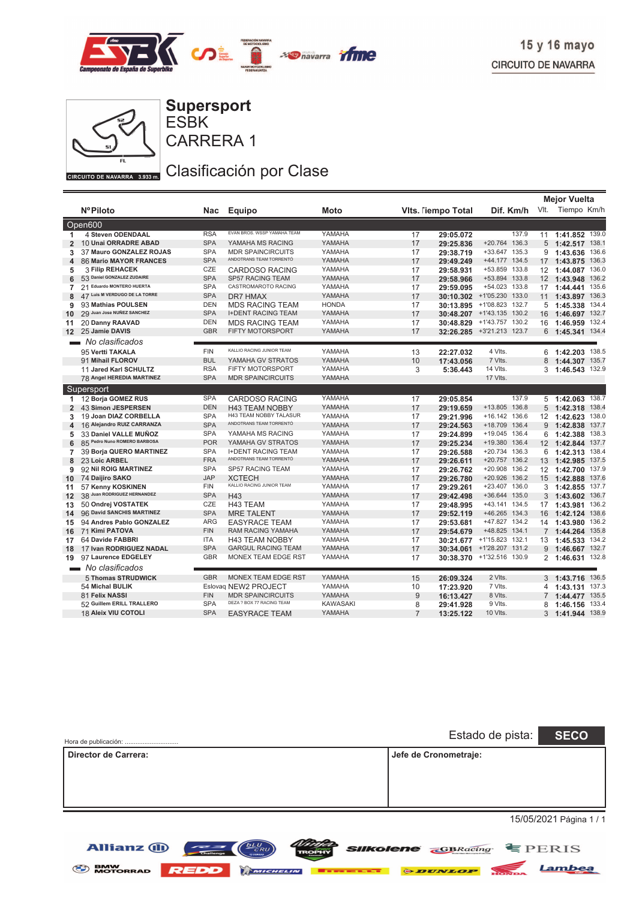



ESBK **Supersport**

CARRERA 1

### Clasificación por Clase

|                   |                                            |                   |                                           |                  |                |                           |                                |                 | <b>Mejor Vuelta</b>          |
|-------------------|--------------------------------------------|-------------------|-------------------------------------------|------------------|----------------|---------------------------|--------------------------------|-----------------|------------------------------|
|                   | <b>NºPiloto</b>                            | Nac               | <b>Equipo</b>                             | Moto             |                | <b>Vits. Tiempo Total</b> | Dif. Km/h                      |                 | Vlt. Tiempo Km/h             |
|                   | Open600                                    |                   |                                           |                  |                |                           |                                |                 |                              |
| 1                 | 4 Steven ODENDAAL                          | <b>RSA</b>        | EVAN BROS. WSSP YAMAHA TEAM               | YAMAHA           | 17             | 29:05.072                 | 137.9                          | 11              | 1:41.852 139.0               |
| $\overline{2}$    | 10 Unai ORRADRE ABAD                       | <b>SPA</b>        | YAMAHA MS RACING                          | YAMAHA           | 17             | 29:25.836                 | +20.764 136.3                  | 5               | 138.1<br>1:42.517            |
| 3                 | 37 Mauro GONZALEZ ROJAS                    | <b>SPA</b>        | <b>MDR SPAINCIRCUITS</b>                  | YAMAHA           | 17             | 29:38.719                 | +33.647 135.3                  | 9               | 136.6<br>1:43.636            |
| 4                 | <b>86 Mario MAYOR FRANCES</b>              | <b>SPA</b>        | ANDOTRANS TEAM TORRENTÓ                   | YAMAHA           | 17             | 29:49.249                 | +44.177 134.5                  | 17              | 1:43.875<br>136.3            |
| 5                 | <b>3 Filip REHACEK</b>                     | CZE               | <b>CARDOSO RACING</b>                     | YAMAHA           | 17             | 29:58.931                 | +53.859 133.8                  |                 | 136.0<br>12 1:44.087         |
| 6                 | 53 Daniel GONZALEZ ZUDAIRE                 | <b>SPA</b>        | SP57 RACING TEAM                          | YAMAHA           | 17             | 29:58.966                 | +53.894 133.8                  |                 | 136.2<br>12 1:43.948         |
| 7                 | 21 Eduardo MONTERO HUERTA                  | <b>SPA</b>        | CASTROMAROTO RACING                       | YAMAHA           | 17             | 29:59.095                 | +54.023 133.8                  | 17              | 135.6<br>1:44.441            |
| 8                 | 47 Luis M VERDUGO DE LA TORRE              | <b>SPA</b>        | <b>DR7 HMAX</b>                           | YAMAHA           | 17             | 30:10.302                 | +1'05.230 133.0                | 11              | 136.3<br>1:43.897            |
| 9                 | 93 Mathias POULSEN                         | <b>DEN</b>        | <b>MDS RACING TEAM</b>                    | <b>HONDA</b>     | 17             | 30:13.895                 | +1'08.823 132.7                | 5               | 134.4<br>1:45.338            |
| 10                | 29 Juan Jose NUÑEZ SANCHEZ                 | <b>SPA</b>        | <b>I+DENT RACING TEAM</b>                 | YAMAHA           | 17             | 30:48.207                 | +1'43.135 130.2                | 16              | 132.7<br>1:46.697            |
| 11                | 20 Danny RAAVAD                            | <b>DEN</b>        | <b>MDS RACING TEAM</b>                    | YAMAHA           | 17             | 30:48.829                 | +1'43.757 130.2                | 16              | 1:46.959 132.4               |
| $12 \overline{ }$ | 25 Jamie DAVIS                             | <b>GBR</b>        | FIFTY MOTORSPORT                          | YAMAHA           | 17             | 32:26.285                 | +3'21.213 123.7                | 6               | 134.4<br>1:45.341            |
|                   | No clasificados                            |                   |                                           |                  |                |                           |                                |                 |                              |
|                   | 95 Vertti TAKALA                           | <b>FIN</b>        | KALLIO RACING JUNIOR TEAM                 | YAMAHA           | 13             | 22:27.032                 | 4 Vlts.                        |                 | 6 1:42.203 138.5             |
|                   | 91 Mihail FLOROV                           | <b>BUL</b>        | YAMAHA GV STRATOS                         | YAMAHA           | 10             | 17:43.056                 | 7 Vlts.                        | 8               | 1:44.307 135.7               |
|                   | 11 Jared Karl SCHULTZ                      | <b>RSA</b>        | FIFTY MOTORSPORT                          | YAMAHA           | 3              | 5:36.443                  | 14 Vlts.                       | 3               | 132.9<br>1:46.543            |
|                   | 78 Angel HEREDIA MARTINEZ                  | <b>SPA</b>        | <b>MDR SPAINCIRCUITS</b>                  | YAMAHA           |                |                           | 17 Vlts.                       |                 |                              |
|                   | Supersport                                 |                   |                                           |                  |                |                           |                                |                 |                              |
| 1                 | 12 Borja GOMEZ RUS                         | <b>SPA</b>        | <b>CARDOSO RACING</b>                     | YAMAHA           | 17             | 29:05.854                 | 137.9                          | 5               | 138.7<br>1:42.063            |
| $\overline{2}$    | 43 Simon JESPERSEN                         | <b>DEN</b>        | <b>H43 TEAM NOBBY</b>                     | YAMAHA           | 17             | 29:19.659                 | +13.805 136.8                  |                 | $5$ 1:42.318<br>138.4        |
| 3                 | 19 Joan DIAZ CORBELLA                      | <b>SPA</b>        | H43 TEAM NOBBY TALASUR                    | YAMAHA           | 17             | 29:21.996                 | +16.142 136.6                  | 12 <sup>2</sup> | 138.0<br>1:42.623            |
| 4                 | 16 Alejandro RUIZ CARRANZA                 | <b>SPA</b>        | ANDOTRANS TEAM TORRENTÓ                   | YAMAHA           | 17             | 29:24.563                 | +18.709 136.4                  |                 | $9$ 1:42.838<br>137.7        |
| 5                 | 33 Daniel VALLE MUÑOZ                      | <b>SPA</b>        | YAMAHA MS RACING                          | YAMAHA           | 17             | 29:24.899                 | +19.045 136.4                  | 6               | 138.3<br>1:42.388            |
| 6                 | 85 Pedro Nuno ROMERO BARBOSA               | <b>POR</b>        | YAMAHA GV STRATOS                         | YAMAHA           | 17             | 29:25.234                 | +19.380 136.4                  |                 | 12 1:42.844<br>137.7         |
| 7                 | 39 Borja QUERO MARTINEZ                    | <b>SPA</b>        | <b>I+DENT RACING TEAM</b>                 | YAMAHA           | 17             | 29:26.588                 | +20.734 136.3                  | 6               | 138.4<br>1:42.313            |
| 8                 | 23 Loic ARBEL                              | <b>FRA</b>        | ANDOTRANS TEAM TORRENTÓ                   | YAMAHA           | 17             | 29:26.611                 | +20.757 136.2                  |                 | 13 1:42.985<br>137.5         |
| 9                 | 92 Nil ROIG MARTINEZ                       | <b>SPA</b>        | <b>SP57 RACING TEAM</b>                   | YAMAHA           | 17             | 29:26.762                 | +20.908 136.2                  |                 | 12 1:42.700<br>137.9         |
| 10                | 74 Daijiro SAKO                            | <b>JAP</b>        | <b>XCTECH</b>                             | YAMAHA           | 17             | 29:26.780                 | +20.926 136.2                  | 15              | 137.6<br>1:42.888            |
| 11                | 57 Kenny KOSKINEN                          | <b>FIN</b>        | KALLIO RACING JUNIOR TEAM                 | YAMAHA           | 17             | 29:29.261                 | +23.407 136.0                  |                 | 3, 1:42.855<br>137.7         |
| 12                | 38 Juan RODRIGUEZ HERNANDEZ                | <b>SPA</b>        | H43                                       | YAMAHA           | 17             | 29:42.498                 | +36.644 135.0                  |                 | 136.7<br>3, 1:43.602         |
| 13                | 50 Ondrej VOSTATEK                         | CZE<br><b>SPA</b> | H43 TEAM                                  | YAMAHA           | 17             | 29:48.995                 | +43.141 134.5                  | 17              | 136.2<br>1:43.981            |
| 14                | 96 David SANCHIS MARTINEZ                  | <b>ARG</b>        | <b>MRE TALENT</b>                         | YAMAHA<br>YAMAHA | 17             | 29:52.119                 | +46.265 134.3<br>+47.827 134.2 | 16              | 138.6<br>1:42.124            |
| 15                | 94 Andres Pablo GONZALEZ<br>71 Kimi PATOVA | <b>FIN</b>        | <b>EASYRACE TEAM</b><br>RAM RACING YAMAHA | YAMAHA           | 17<br>17       | 29:53.681                 | +48.825 134.1                  | 14              | 136.2<br>1:43.980<br>135.8   |
| 16                | 64 Davide FABBRI                           | <b>ITA</b>        | <b>H43 TEAM NOBBY</b>                     | YAMAHA           | 17             | 29:54.679                 | +1'15.823 132.1                | $7^{\circ}$     | 1:44.264<br>134.2            |
| 17                | 17 Ivan RODRIGUEZ NADAL                    | <b>SPA</b>        | <b>GARGUL RACING TEAM</b>                 | YAMAHA           | 17             | 30:21.677                 | +1'28.207 131.2                | 13              | 1:45.533<br>9 1:46.667 132.7 |
| 18<br>19          | 97 Laurence EDGELEY                        | <b>GBR</b>        | MONEX TEAM EDGE RST                       | YAMAHA           | 17             | 30:34.061                 | 30:38.370 +1'32.516 130.9      | 2               | 132.8<br>1:46.631            |
|                   | No clasificados                            |                   |                                           |                  |                |                           |                                |                 |                              |
|                   | 5 Thomas STRUDWICK                         | <b>GBR</b>        | MONEX TEAM EDGE RST                       | YAMAHA           | 15             | 26:09.324                 | 2 Vlts.                        |                 | 3 1:43.716 136.5             |
|                   | 54 Michal BULIK                            |                   | Eslovaq NEW2 PROJECT                      | YAMAHA           | 10             | 17:23.920                 | 7 Vlts.                        | 4               | 137.3<br>1:43.131            |
|                   | 81 Felix NASSI                             | <b>FIN</b>        | <b>MDR SPAINCIRCUITS</b>                  | YAMAHA           | 9              | 16:13.427                 | 8 Vlts.                        | $\overline{7}$  | 135.5<br>1:44.477            |
|                   | 52 Guillem ERILL TRALLERO                  | <b>SPA</b>        | DEZA ? BOX 77 RACING TEAM                 | <b>KAWASAKI</b>  | 8              | 29:41.928                 | 9 Vlts.                        | 8               | 133.4<br>1:46.156            |
|                   | 18 Aleix VIU COTOLI                        | <b>SPA</b>        | <b>EASYRACE TEAM</b>                      | YAMAHA           | $\overline{7}$ | 13:25.122                 | 10 Vlts.                       |                 | 3 1:41.944 138.9             |
|                   |                                            |                   |                                           |                  |                |                           |                                |                 |                              |

| Hora de publicación: | Estado de pista:<br><b>SECO</b> |
|----------------------|---------------------------------|
| Director de Carrera: | Jefe de Cronometraje:           |
|                      | 15/05/2021 Página 1 / 1         |

*SIIKolene GBRacing* **EPERIS** 

Lambea



**Allianz (II)** 

 $\equiv$   $\equiv$   $\sim$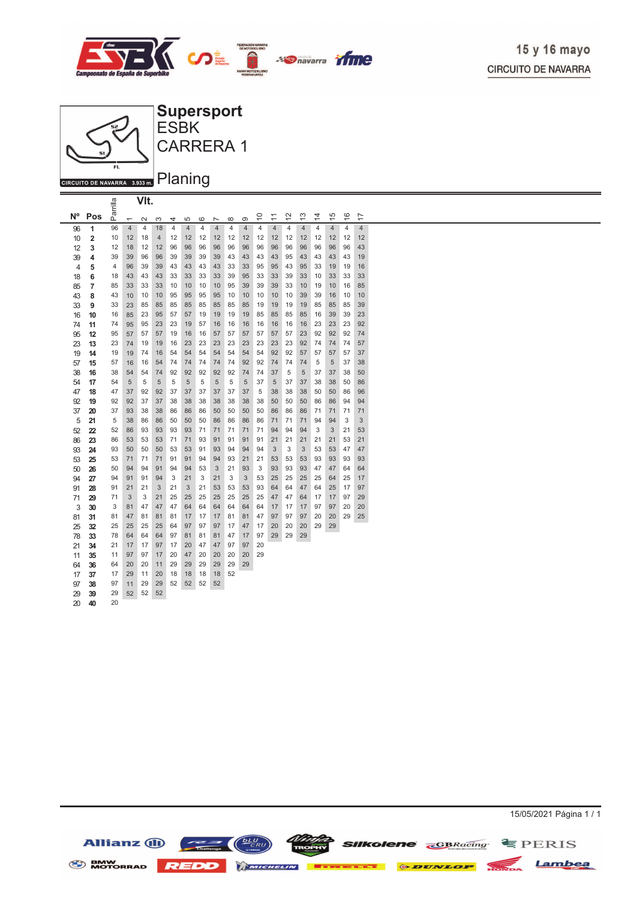



**Allianz** (II)

**BMW**<br>MOTORRAD

 $\underbrace{\hspace{2.3cm}}_{\text{Chalberg}}$ 

**ELECTRICHELIN ELECTRIC** 

**REDD** 

15/05/2021 Página 1 / 1

Lambea

 $\equiv$  PERIS

**Silkolene EBRacing** 

**& DUNLOI**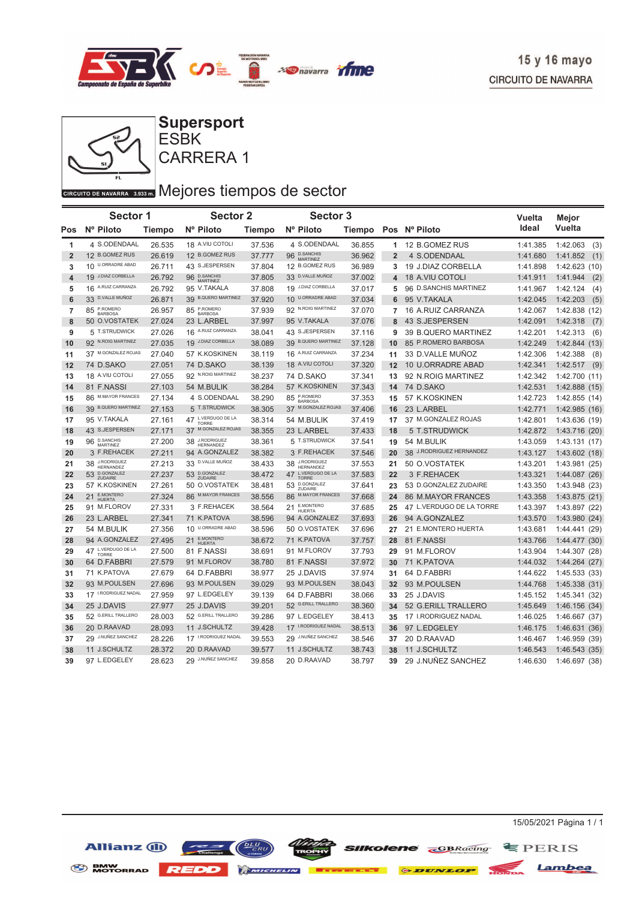



ESBK **Supersport**

CARRERA 1

### GIRCUITO DE NAVARRA 3.933 DI Mejores tiempos de sector

|                | <b>Sector 1</b>                    |               | <b>Sector 2</b>                    |               | <b>Sector 3</b>                       |        |                |                           | Vuelta   | Mejor            |
|----------------|------------------------------------|---------------|------------------------------------|---------------|---------------------------------------|--------|----------------|---------------------------|----------|------------------|
| Pos            | Nº Piloto                          | <b>Tiempo</b> | Nº Piloto                          | <b>Tiempo</b> | Nº Piloto                             |        |                | Tiempo Pos Nº Piloto      | Ideal    | Vuelta           |
| 1              | 4 S.ODENDAAL                       | 26.535        | 18 A.VIU COTOLI                    | 37.536        | 4 S.ODENDAAL                          | 36.855 |                | 1 12 B.GOMEZ RUS          | 1:41.385 | 1:42.063<br>(3)  |
| $\overline{2}$ | 12 B.GOMEZ RUS                     | 26.619        | 12 B.GOMEZ RUS                     | 37.777        | 96 D.SANCHIS<br>MARTINEZ              | 36.962 | $\overline{2}$ | 4 S.ODENDAAL              | 1:41.680 | 1:41.852<br>(1)  |
| 3              | 10 U.ORRADRE ABAD                  | 26.711        | 43 S.JESPERSEN                     | 37.804        | 12 B.GOMEZ RUS                        | 36.989 | 3              | 19 J.DIAZ CORBELLA        | 1:41.898 | 1:42.623(10)     |
| 4              | 19 J.DIAZ CORBELLA                 | 26.792        | 96 D.SANCHIS<br><b>MARTINEZ</b>    | 37.805        | 33 D.VALLE MUÑOZ                      | 37.002 | 4              | <b>18 A.VIU COTOLI</b>    | 1:41.911 | 1:41.944<br>(2)  |
| 5              | 16 A.RUIZ CARRANZA                 | 26.792        | 95 V.TAKALA                        | 37.808        | 19 J.DIAZ CORBELLA                    | 37.017 | 5              | 96 D.SANCHIS MARTINEZ     | 1:41.967 | 1:42.124<br>(4)  |
| 6              | 33 D.VALLE MUÑOZ                   | 26.871        | 39 B.QUERO MARTINEZ                | 37.920        | 10 U.ORRADRE ABAD                     | 37.034 | 6              | 95 V.TAKALA               | 1:42.045 | 1:42.203<br>(5)  |
| $\overline{7}$ | 85 P.ROMERO<br><b>BARBOSA</b>      | 26.957        | 85 P.ROMERO                        | 37.939        | 92 N.ROIG MARTINEZ                    | 37.070 | $\overline{7}$ | 16 A.RUIZ CARRANZA        | 1:42.067 | 1:42.838<br>(12) |
| 8              | 50 O.VOSTATEK                      | 27.024        | 23 L.ARBEL                         | 37.997        | 95 V.TAKALA                           | 37.076 | 8              | 43 S.JESPERSEN            | 1:42.091 | 1:42.318<br>(7)  |
| 9              | 5 T.STRUDWICK                      | 27.026        | 16 A.RUIZ CARRANZA                 | 38.041        | 43 S.JESPERSEN                        | 37.116 | 9              | 39 B.QUERO MARTINEZ       | 1:42.201 | 1:42.313<br>(6)  |
| 10             | 92 N.ROIG MARTINEZ                 | 27.035        | 19 J.DIAZ CORBELLA                 | 38.089        | <b>B.QUERO MARTINEZ</b><br>39         | 37.128 | 10             | 85 P.ROMERO BARBOSA       | 1:42.249 | 1:42.844(13)     |
| 11             | 37 M.GONZALEZ ROJAS                | 27.040        | 57 K.KOSKINEN                      | 38.119        | 16 A.RUIZ CARRANZA                    | 37.234 | 11             | 33 D.VALLE MUÑOZ          | 1:42.306 | 1:42.388<br>(8)  |
| 12             | 74 D.SAKO                          | 27.051        | 74 D.SAKO                          | 38.139        | 18 A.VIU COTOLI                       | 37.320 | 12             | 10 U.ORRADRE ABAD         | 1:42.341 | 1:42.517<br>(9)  |
| 13             | 18 A.VIU COTOLI                    | 27.055        | 92 N.ROIG MARTINEZ                 | 38.237        | 74 D.SAKO                             | 37.341 | 13             | 92 N.ROIG MARTINEZ        | 1:42.342 | 1:42.700(11)     |
| 14             | 81 F.NASSI                         | 27.103        | 54 M.BULIK                         | 38.284        | 57 K.KOSKINEN                         | 37.343 | 14             | 74 D.SAKO                 | 1:42.531 | 1:42.888(15)     |
| 15             | 86 M.MAYOR FRANCES                 | 27.134        | 4 S.ODENDAAL                       | 38.290        | 85 P.ROMERO<br><b>BARBOSA</b>         | 37.353 | 15             | 57 K.KOSKINEN             | 1:42.723 | 1:42.855 (14)    |
| 16             | 39 B.QUERO MARTINEZ                | 27.153        | 5 T.STRUDWICK                      | 38.305        | M.GONZALEZ ROJAS<br>37                | 37.406 | 16             | 23 L.ARBEL                | 1:42.771 | 1:42.985(16)     |
| 17             | 95 V.TAKALA                        | 27.161        | 47 L.VERDUGO DE LA<br><b>TORRE</b> | 38.314        | 54 M.BULIK                            | 37.419 | 17             | 37 M.GONZALEZ ROJAS       | 1:42.801 | 1:43.636 (19)    |
| 18             | 43 S.JESPERSEN                     | 27.171        | M.GONZALEZ ROJAS<br>37             | 38.355        | 23 L.ARBEL                            | 37.433 | 18             | 5 T.STRUDWICK             | 1:42.872 | 1:43.716 (20)    |
| 19             | 96 D.SANCHIS<br><b>MARTINEZ</b>    | 27.200        | 38 J.RODRIGUEZ                     | 38.361        | 5 T.STRUDWICK                         | 37.541 | 19             | 54 M.BULIK                | 1:43.059 | 1:43.131(17)     |
| 20             | 3 F.REHACEK                        | 27.211        | 94 A.GONZALEZ                      | 38.382        | 3 F.REHACEK                           | 37.546 | 20             | 38 J.RODRIGUEZ HERNANDEZ  | 1:43.127 | 1:43.602(18)     |
| 21             | 38 J.RODRIGUEZ<br><b>HERNANDEZ</b> | 27.213        | 33 D.VALLE MUÑOZ                   | 38.433        | 38 J.RODRIGUEZ<br><b>HERNANDEZ</b>    | 37.553 | 21             | 50 O.VOSTATEK             | 1:43.201 | 1:43.981 (25)    |
| 22             | 53 D.GONZALEZ<br>ZUDAIRE           | 27.237        | 53 D.GONZALEZ                      | 38.472        | L.VERDUGO DE LA<br>47<br><b>TORRF</b> | 37.583 | 22             | 3 F.REHACEK               | 1:43.321 | 1:44.087(26)     |
| 23             | 57 K.KOSKINEN                      | 27.261        | 50 O.VOSTATEK                      | 38.481        | 53 D.GONZALEZ<br><b>ZUDAIRE</b>       | 37.641 | 23             | 53 D.GONZALEZ ZUDAIRE     | 1:43.350 | 1:43.948 (23)    |
| 24             | 21 E.MONTERO<br><b>HUERTA</b>      | 27.324        | 86 M.MAYOR FRANCES                 | 38.556        | <b>M.MAYOR FRANCES</b><br>86          | 37.668 | 24             | <b>86 M.MAYOR FRANCES</b> | 1:43.358 | 1:43.875 (21)    |
| 25             | 91 M.FLOROV                        | 27.331        | 3 F.REHACEK                        | 38.564        | 21 E.MONTERO<br><b>HUERTA</b>         | 37.685 | 25             | 47 L.VERDUGO DE LA TORRE  | 1:43.397 | 1:43.897 (22)    |
| 26             | 23 L.ARBEL                         | 27.341        | 71 K.PATOVA                        | 38.596        | 94 A.GONZALEZ                         | 37.693 | 26             | 94 A.GONZALEZ             | 1:43.570 | 1:43.980 (24)    |
| 27             | 54 M.BULIK                         | 27.356        | 10 U.ORRADRE ABAD                  | 38.596        | 50 O.VOSTATEK                         | 37.696 | 27             | 21 E.MONTERO HUERTA       | 1:43.681 | 1:44.441 (29)    |
| 28             | 94 A.GONZALEZ                      | 27.495        | 21 E.MONTERO<br><b>HUERTA</b>      | 38.672        | 71 K.PATOVA                           | 37.757 | 28             | 81 F.NASSI                | 1:43.766 | 1:44.477(30)     |
| 29             | 47 L.VERDUGO DE LA                 | 27.500        | 81 F.NASSI                         | 38.691        | 91 M.FLOROV                           | 37.793 | 29             | 91 M.FLOROV               | 1:43.904 | 1:44.307 (28)    |
| 30             | 64 D.FABBRI                        | 27.579        | 91 M.FLOROV                        | 38.780        | 81 F.NASSI                            | 37.972 | 30             | 71 K.PATOVA               | 1:44.032 | 1:44.264 (27)    |
| 31             | 71 K.PATOVA                        | 27.679        | 64 D.FABBRI                        | 38.977        | 25 J.DAVIS                            | 37.974 | 31             | 64 D.FABBRI               | 1:44.622 | 1:45.533(33)     |
| 32             | 93 M.POULSEN                       | 27.696        | 93 M.POULSEN                       | 39.029        | 93 M.POULSEN                          | 38.043 | 32             | 93 M.POULSEN              | 1:44.768 | 1:45.338(31)     |
| 33             | 17 I.RODRIGUEZ NADAL               | 27.959        | 97 L.EDGELEY                       | 39.139        | 64 D.FABBRI                           | 38.066 | 33             | 25 J.DAVIS                | 1:45.152 | 1:45.341 (32)    |
| 34             | 25 J.DAVIS                         | 27.977        | 25 J.DAVIS                         | 39.201        | 52 G.ERILL TRALLERO                   | 38.360 | 34             | 52 G.ERILL TRALLERO       | 1:45.649 | 1:46.156(34)     |
| 35             | 52 G.ERILL TRALLERO                | 28.003        | 52 G.ERILL TRALLERO                | 39.286        | 97 L.EDGELEY                          | 38.413 | 35             | 17 I.RODRIGUEZ NADAL      | 1:46.025 | 1:46.667 (37)    |
| 36             | 20 D.RAAVAD                        | 28.093        | 11 J.SCHULTZ                       | 39.428        | 17 I.RODRIGUEZ NADAL                  | 38.513 | 36             | 97 L.EDGELEY              | 1:46.175 | 1:46.631(36)     |
| 37             | 29 J.NUÑEZ SANCHEZ                 | 28.226        | 17 I.RODRIGUEZ NADAL               | 39.553        | 29 J.NUÑEZ SANCHEZ                    | 38.546 | 37             | 20 D.RAAVAD               | 1:46.467 | 1:46.959 (39)    |
| 38             | 11 J.SCHULTZ                       | 28.372        | 20 D.RAAVAD                        | 39.577        | 11 J.SCHULTZ                          | 38.743 | 38             | 11 J.SCHULTZ              | 1:46.543 | 1:46.543(35)     |
| 39             | 97 L.EDGELEY                       | 28.623        | 29 J.NUÑEZ SANCHEZ                 | 39.858        | 20 D.RAAVAD                           | 38.797 | 39             | 29 J.NUÑEZ SANCHEZ        | 1:46.630 | 1:46.697 (38)    |

**SENW MOTORRAD REDD Extent OF DUNLOP** 



Lambea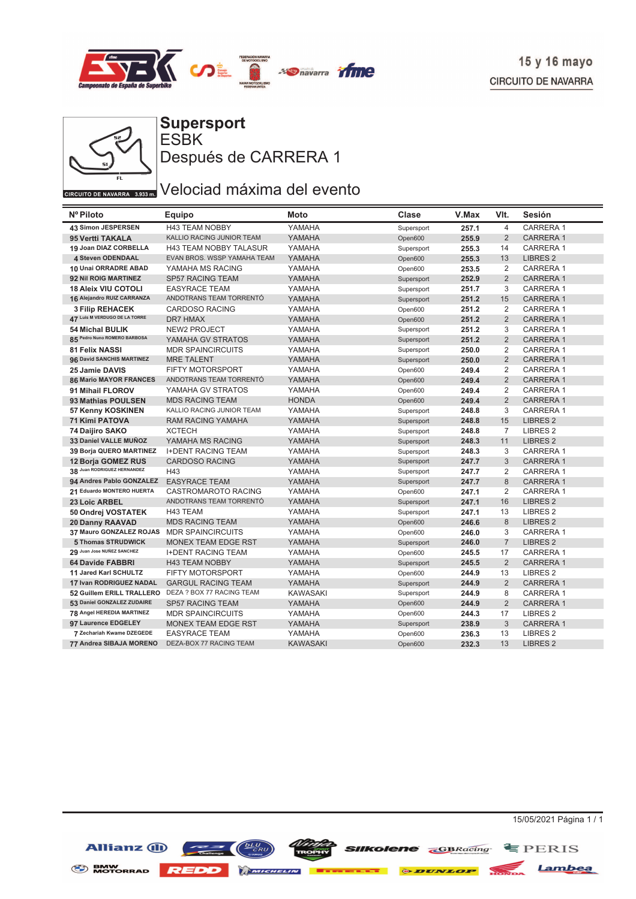



ESBK **Supersport** Después de CARRERA 1

# GIRCUITO DE NAVARRA 3.933 DI Velociad máxima del evento

| Nº Piloto                     | Equipo                        | Moto            | Clase      | V.Max | VIt.           | Sesión              |
|-------------------------------|-------------------------------|-----------------|------------|-------|----------------|---------------------|
| 43 Simon JESPERSEN            | <b>H43 TEAM NOBBY</b>         | YAMAHA          | Supersport | 257.1 | $\overline{4}$ | CARRERA 1           |
| 95 Vertti TAKALA              | KALLIO RACING JUNIOR TEAM     | YAMAHA          | Open600    | 255.9 | $\overline{2}$ | <b>CARRERA1</b>     |
| 19 Joan DIAZ CORBELLA         | <b>H43 TEAM NOBBY TALASUR</b> | YAMAHA          | Supersport | 255.3 | 14             | CARRERA 1           |
| 4 Steven ODENDAAL             | EVAN BROS. WSSP YAMAHA TEAM   | YAMAHA          | Open600    | 255.3 | 13             | <b>LIBRES 2</b>     |
| 10 Unai ORRADRE ABAD          | YAMAHA MS RACING              | YAMAHA          | Open600    | 253.5 | 2              | <b>CARRERA1</b>     |
| 92 Nil ROIG MARTINEZ          | <b>SP57 RACING TEAM</b>       | YAMAHA          | Supersport | 252.9 | $\overline{2}$ | <b>CARRERA1</b>     |
| <b>18 Aleix VIU COTOLI</b>    | <b>EASYRACE TEAM</b>          | YAMAHA          | Supersport | 251.7 | 3              | CARRERA 1           |
| 16 Alejandro RUIZ CARRANZA    | ANDOTRANS TEAM TORRENTÓ       | YAMAHA          | Supersport | 251.2 | 15             | <b>CARRERA1</b>     |
| <b>3 Filip REHACEK</b>        | <b>CARDOSO RACING</b>         | YAMAHA          | Open600    | 251.2 | 2              | <b>CARRERA1</b>     |
| 47 Luis M VERDUGO DE LA TORRE | <b>DR7 HMAX</b>               | YAMAHA          | Open600    | 251.2 | 2              | <b>CARRERA1</b>     |
| <b>54 Michal BULIK</b>        | NEW2 PROJECT                  | YAMAHA          | Supersport | 251.2 | 3              | <b>CARRERA1</b>     |
| 85 Pedro Nuno ROMERO BARBOSA  | YAMAHA GV STRATOS             | YAMAHA          | Supersport | 251.2 | $\overline{2}$ | <b>CARRERA1</b>     |
| <b>81 Felix NASSI</b>         | <b>MDR SPAINCIRCUITS</b>      | YAMAHA          | Supersport | 250.0 | 2              | <b>CARRERA1</b>     |
| 96 David SANCHIS MARTINEZ     | <b>MRE TALENT</b>             | YAMAHA          | Supersport | 250.0 | $\overline{2}$ | <b>CARRERA1</b>     |
| 25 Jamie DAVIS                | <b>FIFTY MOTORSPORT</b>       | YAMAHA          | Open600    | 249.4 | 2              | CARRERA 1           |
| <b>86 Mario MAYOR FRANCES</b> | ANDOTRANS TEAM TORRENTÓ       | YAMAHA          | Open600    | 249.4 | $\overline{2}$ | <b>CARRERA1</b>     |
| 91 Mihail FLOROV              | YAMAHA GV STRATOS             | YAMAHA          | Open600    | 249.4 | 2              | CARRERA 1           |
| 93 Mathias POULSEN            | <b>MDS RACING TEAM</b>        | <b>HONDA</b>    | Open600    | 249.4 | $\overline{2}$ | <b>CARRERA1</b>     |
| 57 Kenny KOSKINEN             | KALLIO RACING JUNIOR TEAM     | YAMAHA          | Supersport | 248.8 | 3              | CARRERA 1           |
| <b>71 Kimi PATOVA</b>         | <b>RAM RACING YAMAHA</b>      | YAMAHA          | Supersport | 248.8 | 15             | <b>LIBRES 2</b>     |
| 74 Daijiro SAKO               | <b>XCTECH</b>                 | YAMAHA          | Supersport | 248.8 | $\overline{7}$ | LIBRES <sub>2</sub> |
| 33 Daniel VALLE MUÑOZ         | YAMAHA MS RACING              | YAMAHA          | Supersport | 248.3 | 11             | <b>LIBRES 2</b>     |
| 39 Borja QUERO MARTINEZ       | <b>I+DENT RACING TEAM</b>     | YAMAHA          | Supersport | 248.3 | 3              | <b>CARRERA1</b>     |
| <b>12 Borja GOMEZ RUS</b>     | <b>CARDOSO RACING</b>         | YAMAHA          | Supersport | 247.7 | 3              | <b>CARRERA1</b>     |
| 38 Juan RODRIGUEZ HERNANDEZ   | H43                           | YAMAHA          | Supersport | 247.7 | 2              | <b>CARRERA1</b>     |
| 94 Andres Pablo GONZALEZ      | <b>EASYRACE TEAM</b>          | YAMAHA          | Supersport | 247.7 | 8              | <b>CARRERA1</b>     |
| 21 Eduardo MONTERO HUERTA     | <b>CASTROMAROTO RACING</b>    | YAMAHA          | Open600    | 247.1 | 2              | <b>CARRERA1</b>     |
| 23 Loic ARBEL                 | ANDOTRANS TEAM TORRENTÓ       | YAMAHA          | Supersport | 247.1 | 16             | <b>LIBRES 2</b>     |
| 50 Ondrej VOSTATEK            | H43 TEAM                      | YAMAHA          | Supersport | 247.1 | 13             | LIBRES <sub>2</sub> |
| <b>20 Danny RAAVAD</b>        | <b>MDS RACING TEAM</b>        | YAMAHA          | Open600    | 246.6 | 8              | <b>LIBRES 2</b>     |
| 37 Mauro GONZALEZ ROJAS       | <b>MDR SPAINCIRCUITS</b>      | YAMAHA          | Open600    | 246.0 | 3              | CARRERA 1           |
| 5 Thomas STRUDWICK            | <b>MONEX TEAM EDGE RST</b>    | YAMAHA          | Supersport | 246.0 | $\overline{7}$ | <b>LIBRES 2</b>     |
| 29 Juan Jose NUÑEZ SANCHEZ    | <b>I+DENT RACING TEAM</b>     | YAMAHA          | Open600    | 245.5 | 17             | <b>CARRERA1</b>     |
| <b>64 Davide FABBRI</b>       | <b>H43 TEAM NOBBY</b>         | YAMAHA          | Supersport | 245.5 | 2              | <b>CARRERA1</b>     |
| 11 Jared Karl SCHULTZ         | <b>FIFTY MOTORSPORT</b>       | YAMAHA          | Open600    | 244.9 | 13             | LIBRES <sub>2</sub> |
| 17 Ivan RODRIGUEZ NADAL       | <b>GARGUL RACING TEAM</b>     | YAMAHA          | Supersport | 244.9 | $\overline{2}$ | <b>CARRERA1</b>     |
| 52 Guillem ERILL TRALLERO     | DEZA ? BOX 77 RACING TEAM     | <b>KAWASAKI</b> | Supersport | 244.9 | 8              | CARRERA 1           |
| 53 Daniel GONZALEZ ZUDAIRE    | <b>SP57 RACING TEAM</b>       | YAMAHA          | Open600    | 244.9 | $\overline{2}$ | <b>CARRERA1</b>     |
| 78 Angel HEREDIA MARTINEZ     | <b>MDR SPAINCIRCUITS</b>      | YAMAHA          | Open600    | 244.3 | 17             | <b>LIBRES 2</b>     |
| 97 Laurence EDGELEY           | <b>MONEX TEAM EDGE RST</b>    | YAMAHA          | Supersport | 238.9 | 3              | <b>CARRERA1</b>     |
| 7 Zechariah Kwame DZEGEDE     | <b>EASYRACE TEAM</b>          | YAMAHA          | Open600    | 236.3 | 13             | LIBRES <sub>2</sub> |
| 77 Andrea SIBAJA MORENO       | DEZA-BOX 77 RACING TEAM       | <b>KAWASAKI</b> | Open600    | 232.3 | 13             | <b>LIBRES 2</b>     |



BMW MOTORRAD **REDD** MATCHELIN **T** 

15/05/2021 Página 1 / 1

*ODUNLOP* 

**Silkolene** *<u>*GBRacing **E** PERIS</u>

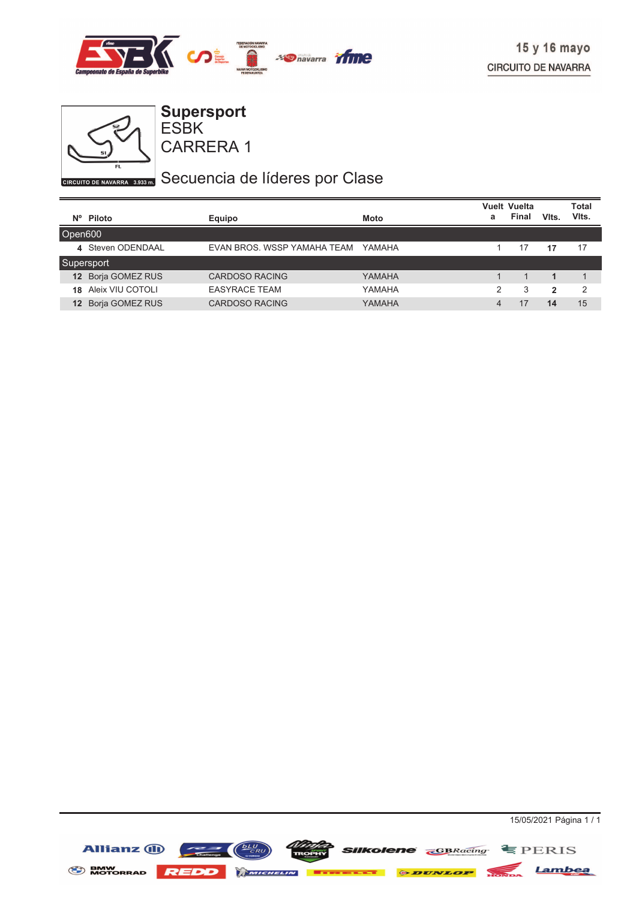



ESBK **Supersport**

CARRERA 1

# GIRCUITO DE NAVARRA 3.935 DI Secuencia de líderes por Clase

|                 |                    |                             |             |   | <b>Vuelt Vuelta</b> |              | <b>Total</b>  |
|-----------------|--------------------|-----------------------------|-------------|---|---------------------|--------------|---------------|
|                 | $N^{\circ}$ Piloto | Equipo                      | <b>Moto</b> | a | Final               | VIts.        | VIts.         |
| Open600         |                    |                             |             |   |                     |              |               |
|                 | 4 Steven ODENDAAL  | EVAN BROS, WSSP YAMAHA TEAM | YAMAHA      |   | 17                  | 17           | 17            |
|                 | Supersport         |                             |             |   |                     |              |               |
|                 | 12 Borja GOMEZ RUS | <b>CARDOSO RACING</b>       | YAMAHA      |   |                     |              |               |
| 18              | Aleix VIU COTOLI   | <b>EASYRACE TEAM</b>        | YAMAHA      | 2 | 3                   | $\mathbf{2}$ | $\mathcal{P}$ |
| 12 <sup>2</sup> | Borja GOMEZ RUS    | CARDOSO RACING              | YAMAHA      | 4 |                     | 14           | 15            |

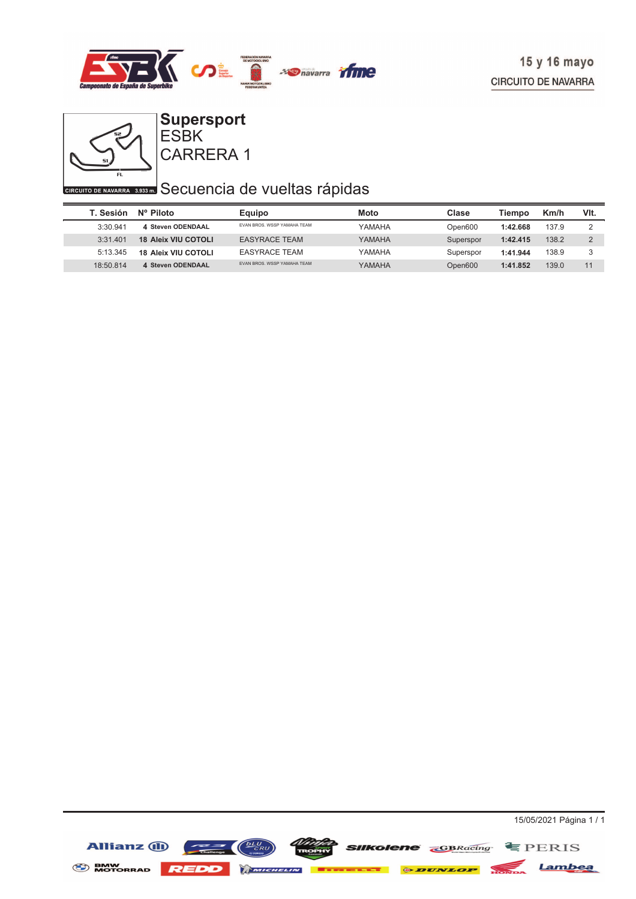



#### CARRERA 1 ESBK **Supersport**

# **CIRCUITO DE NAVARRA 3533 ED** Secuencia de vueltas rápidas

| T. Sesión | $N^{\circ}$ Piloto         | Equipo                            | Moto   | Clase     | Tiempo   | Km/h  | VIt.     |
|-----------|----------------------------|-----------------------------------|--------|-----------|----------|-------|----------|
| 3:30.941  | 4 Steven ODENDAAL          | EVAN BROS, WSSP YAMAHA TEAM       | YAMAHA | Open600   | 1:42.668 | 137.9 |          |
| 3:31.401  | <b>18 Aleix VIU COTOLI</b> | <b>EASYRACE TEAM</b>              | YAMAHA | Superspor | 1:42.415 | 138.2 | $\Omega$ |
| 5:13.345  | <b>18 Aleix VIU COTOLI</b> | <b>EASYRACE TEAM</b>              | YAMAHA | Superspor | 1:41.944 | 138.9 |          |
| 18:50.814 | 4 Steven ODENDAAL          | <b>FVAN BROS WSSP YAMAHA TFAM</b> | YAMAHA | Open600   | 1:41.852 | 139.0 | 11       |

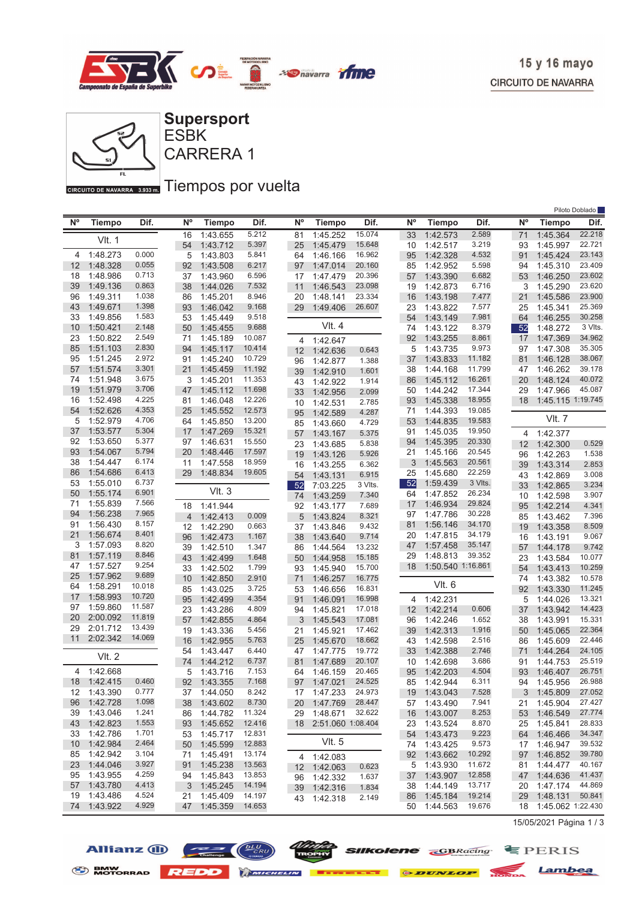



ESBK

GIRCUITO DE NAVARRA 3.933mm Tiempos por vuelta

|                 |               |                  |                |               |        |                |                      |         |    |                   |         |             |                      | Piloto Doblado |
|-----------------|---------------|------------------|----------------|---------------|--------|----------------|----------------------|---------|----|-------------------|---------|-------------|----------------------|----------------|
| $N^{\circ}$     | <b>Tiempo</b> | Dif.             | N°             | <b>Tiempo</b> | Dif.   | N <sup>o</sup> | <b>Tiempo</b>        | Dif.    | N° | <b>Tiempo</b>     | Dif.    | $N^{\circ}$ | Tiempo               | Dif.           |
|                 |               |                  | 16             | 1:43.655      | 5.212  | 81             | 1:45.252             | 15.074  | 33 | 1:42.573          | 2.589   | 71          | 1:45.364             | 22.218         |
|                 | <b>VIt. 1</b> |                  | 54             | 1:43.712      | 5.397  | 25             | 1:45.479             | 15.648  | 10 | 1:42.517          | 3.219   | 93          | 1:45.997             | 22.721         |
| 4               | 1:48.273      | 0.000            | 5              | 1:43.803      | 5.841  | 64             | 1:46.166             | 16.962  | 95 | 1:42.328          | 4.532   | 91          | 1:45.424             | 23.143         |
| 12              | 1:48.328      | 0.055            | 92             | 1:43.508      | 6.217  | 97             | 1:47.014             | 20.160  | 85 | 1:42.952          | 5.598   | 94          | 1:45.310             | 23.409         |
| 18              | 1:48.986      | 0.713            | 37             | 1:43.960      | 6.596  | 17             | 1:47.479             | 20.396  | 57 | 1:43.390          | 6.682   | 53          | 1:46.250             | 23.602         |
| 39              | 1:49.136      | 0.863            | 38             | 1:44.026      | 7.532  | 11             | 1:46.543             | 23.098  | 19 | 1:42.873          | 6.716   | 3           | 1:45.290             | 23.620         |
| 96              | 1:49.311      | 1.038            | 86             | 1:45.201      | 8.946  | 20             | 1:48.141             | 23.334  | 16 | 1:43.198          | 7.477   | 21          | 1:45.586             | 23.900         |
| 43              | 1:49.671      | 1.398            | 93             | 1:46.042      | 9.168  | 29             | 1:49.406             | 26.607  | 23 | 1:43.822          | 7.577   | 25          | 1:45.341             | 25.369         |
| 33              | 1:49.856      | 1.583            | 53             | 1:45.449      | 9.518  |                |                      |         | 54 | 1:43.149          | 7.981   | 64          | 1:46.255             | 30.258         |
| 10              | 1:50.421      | 2.148            | 50             | 1:45.455      | 9.688  |                | VIt. 4               |         | 74 | 1:43.122          | 8.379   | 52          | 1:48.272             | 3 Vlts.        |
| 23              | 1:50.822      | 2.549            | 71             | 1:45.189      | 10.087 | 4              | 1:42.647             |         | 92 | 1:43.255          | 8.861   | 17          | 1:47.369             | 34.962         |
| 85              | 1:51.103      | 2.830            | 94             | 1:45.117      | 10.414 | 12             | 1:42.636             | 0.643   | 5  | 1:43.735          | 9.973   | 97          | 1:47.308             | 35.305         |
| 95              | 1:51.245      | 2.972            | 91             | 1:45.240      | 10.729 | 96             | 1:42.877             | 1.388   | 37 | 1:43.833          | 11.182  | 81          | 1:46.128             | 38.067         |
| 57              | 1:51.574      | 3.301            | 21             | 1:45.459      | 11.192 | 39             | 1:42.910             | 1.601   | 38 | 1:44.168          | 11.799  | 47          | 1:46.262             | 39.178         |
| 74              | 1:51.948      | 3.675            | 3              | 1:45.201      | 11.353 | 43             | 1:42.922             | 1.914   | 86 | 1:45.112          | 16.261  | 20          | 1:48.124             | 40.072         |
| 19              | 1:51.979      | 3.706            | 47             | 1:45.112      | 11.698 | 33             | 1:42.956             | 2.099   | 50 | 1:44.242          | 17.344  | 29          | 1:47.966             | 45.087         |
| 16              | 1:52.498      | 4.225            | 81             | 1:46.048      | 12.226 | 10             | 1:42.531             | 2.785   | 93 | 1:45.338          | 18.955  | 18          | 1:45.115 1:19.745    |                |
| 54              | 1:52.626      | 4.353            | 25             | 1:45.552      | 12.573 | 95             | 1:42.589             | 4.287   | 71 | 1:44.393          | 19.085  |             |                      |                |
| 5               | 1:52.979      | 4.706            | 64             | 1:45.850      | 13.200 | 85             | 1:43.660             | 4.729   | 53 | 1:44.835          | 19.583  |             | VIt. 7               |                |
| 37              | 1:53.577      | 5.304            | 17             | 1:47.269      | 15.321 | 57             | 1:43.167             | 5.375   | 91 | 1:45.035          | 19.950  | 4           | 1:42.377             |                |
| 92              | 1:53.650      | 5.377            | 97             | 1:46.631      | 15.550 | 23             | 1:43.685             | 5.838   | 94 | 1:45.395          | 20.330  | 12          | 1:42.300             | 0.529          |
| 93              | 1:54.067      | 5.794            | 20             | 1:48.446      | 17.597 | 19             | 1:43.126             | 5.926   | 21 | 1:45.166          | 20.545  | 96          | 1:42.263             | 1.538          |
| 38              | 1:54.447      | 6.174            | 11             | 1:47.558      | 18.959 | 16             | 1:43.255             | 6.362   | 3  | 1:45.563          | 20.561  | 39          | 1:43.314             | 2.853          |
| 86              | 1:54.686      | 6.413            | 29             | 1:48.834      | 19.605 | 54             | 1:43.131             | 6.915   | 25 | 1:45.680          | 22.259  | 43          | 1:42.869             | 3.008          |
| 53              | 1:55.010      | 6.737            |                | Vlt.3         |        | 52             | 7:03.225             | 3 Vlts. | 52 | 1:59.439          | 3 Vlts. | 33          | 1:42.865             | 3.234          |
| 50              | 1:55.174      | 6.901            |                |               |        | 74             | 1:43.259             | 7.340   | 64 | 1:47.852          | 26.234  | 10          | 1:42.598             | 3.907          |
| 71              | 1:55.839      | 7.566            | 18             | 1:41.944      |        | 92             | 1:43.177             | 7.689   | 17 | 1:46.934          | 29.824  | 95          | 1:42.214             | 4.341          |
| 94              | 1:56.238      | 7.965            | $\overline{4}$ | 1:42.413      | 0.009  | 5              | 1:43.824             | 8.321   | 97 | 1:47.786          | 30.228  | 85          | 1:43.462             | 7.396          |
| 91              | 1:56.430      | 8.157            | 12             | 1:42.290      | 0.663  | 37             | 1:43.846             | 9.432   | 81 | 1:56.146          | 34.170  | 19          | 1:43.358             | 8.509          |
| 21              | 1:56.674      | 8.401            | 96             | 1:42.473      | 1.167  | 38             | 1:43.640             | 9.714   | 20 | 1:47.815          | 34.179  | 16          | 1:43.191             | 9.067          |
| 3               | 1:57.093      | 8.820            | 39             | 1:42.510      | 1.347  | 86             | 1:44.564             | 13.232  | 47 | 1:57.458          | 35.147  | 57          | 1:44.178             | 9.742          |
| 81              | 1:57.119      | 8.846            | 43             | 1:42.499      | 1.648  | 50             | 1:44.958             | 15.185  | 29 | 1:48.813          | 39.352  | 23          | 1:43.584             | 10.077         |
| 47              | 1:57.527      | 9.254            | 33             | 1:42.502      | 1.799  | 93             | 1:45.940             | 15.700  | 18 | 1:50.540 1:16.861 |         | 54          | 1:43.413             | 10.259         |
| 25              | 1:57.962      | 9.689            | 10             | 1:42.850      | 2.910  | 71             | 1:46.257             | 16.775  |    | VIt. 6            |         | 74          | 1:43.382             | 10.578         |
| 64              | 1:58.291      | 10.018           | 85             | 1:43.025      | 3.725  | 53             | 1:46.656             | 16.831  |    |                   |         | 92          | 1:43.330             | 11.245         |
| 17              | 1:58.993      | 10.720           | 95             | 1:42.499      | 4.354  | 91             | 1:46.091             | 16.998  | 4  | 1:42.231          |         | 5           | 1:44.026             | 13.321         |
| 97              | 1:59.860      | 11.587           | 23             | 1:43.286      | 4.809  | 94             | 1:45.821             | 17.018  | 12 | 1:42.214          | 0.606   | 37          | 1:43.942             | 14.423         |
| 20              | 2:00.092      | 11.819<br>13.439 | 57             | 1:42.855      | 4.864  | 3              | 1:45.543             | 17.081  | 96 | 1:42.246          | 1.652   | 38          | 1:43.991             | 15.331         |
| 29              | 2:01.712      |                  | 19             | 1:43.336      | 5.456  | 21             | 1:45.921             | 17.462  | 39 | 1:42.313          | 1.916   | 50          | 1:45.065             | 22.364         |
| 11              | 2:02.342      | 14.069           | 16             | 1:42.955      | 5.763  | 25             | 1:45.670             | 18.662  | 43 | 1:42.598          | 2.516   | 86          | 1:45.609             | 22.446         |
|                 | <b>VIt. 2</b> |                  | 54             | 1:43.447      | 6.440  | 47             | 1:47.775             | 19.772  | 33 | 1:42.388          | 2.746   | 71          | 1:44.264             | 24.105         |
|                 |               |                  | 74             | 1:44.212      | 6.737  | 81             | 1:47.689             | 20.107  | 10 | 1:42.698          | 3.686   | 91          | 1:44.753             | 25.519         |
| 4               | 1:42.668      |                  | 5              | 1:43.716      | 7.153  | 64             | 1:46.159             | 20.465  | 95 | 1:42.203          | 4.504   | 93          | 1:46.407             | 26.751         |
|                 | 18 1:42.415   | 0.460            | 92             | 1:43.355      | 7.168  | 97             | 1:47.021             | 24.525  |    | 85 1:42.944       | 6.311   | 94          | 1:45.956             | 26.988         |
|                 | 12 1:43.390   | 0.777            |                | 37 1:44.050   | 8.242  |                | 17  1:47.233  24.973 |         |    | 19 1:43.043       | 7.528   |             | 3 1:45.809           | 27.052         |
| 96              | 1:42.728      | 1.098            |                | 38 1:43.602   | 8.730  |                | 20 1:47.769          | 28.447  |    | 57 1:43.490       | 7.941   |             | 21 1:45.904          | 27.427         |
| 39              | 1:43.046      | 1.241            |                | 86 1:44.782   | 11.324 |                | 29 1:48.671          | 32.622  | 16 | 1:43.007          | 8.253   |             | 53 1:46.549          | 27.774         |
|                 | 43 1:42.823   | 1.553            | 93             | 1:45.652      | 12.416 |                | 18 2:51.060 1:08.404 |         | 23 | 1:43.524          | 8.870   | 25          | 1:45.841             | 28.833         |
| 33              | 1:42.786      | 1.701            | 53             | 1:45.717      | 12.831 |                |                      |         | 54 | 1:43.473          | 9.223   | 64          | 1:46.466             | 34.347         |
| 10 <sup>°</sup> | 1:42.984      | 2.464            | 50             | 1:45.599      | 12.883 |                | Vlt. 5               |         | 74 | 1:43.425          | 9.573   |             | 17 1:46.947          | 39.532         |
|                 | 85 1:42.942   | 3.104            | 71             | 1:45.491      | 13.174 |                | 4 1:42.083           |         | 92 | 1:43.662          | 10.292  | 97          | 1:46.852             | 39.780         |
| 23              | 1:44.046      | 3.927            | 91             | 1:45.238      | 13.563 |                | 12 1:42.063          | 0.623   | 5  | 1:43.930          | 11.672  | 81          | 1:44.477             | 40.167         |
| 95              | 1:43.955      | 4.259            | 94             | 1:45.843      | 13.853 |                | 96 1:42.332          | 1.637   | 37 | 1:43.907          | 12.858  | 47          | 1:44.636             | 41.437         |
| 57              | 1:43.780      | 4.413            |                | 3 1:45.245    | 14.194 |                | 39 1:42.316          | 1.834   | 38 | 1.44.149          | 13.717  | 20          | 1.47.174             | 44.869         |
| 19              | 1:43.486      | 4.524            | 21             | 1:45.409      | 14.197 |                | 43 1:42.318          | 2.149   | 86 | 1:45.184          | 19.214  | 29          | 1:48.131             | 50.841         |
| 74              | 1:43.922      | 4.929            |                | 47 1:45.359   | 14.653 |                |                      |         | 50 | 1:44.563          | 19.676  |             | 18 1:45.062 1:22.430 |                |

15/05/2021 Página 1 / 3





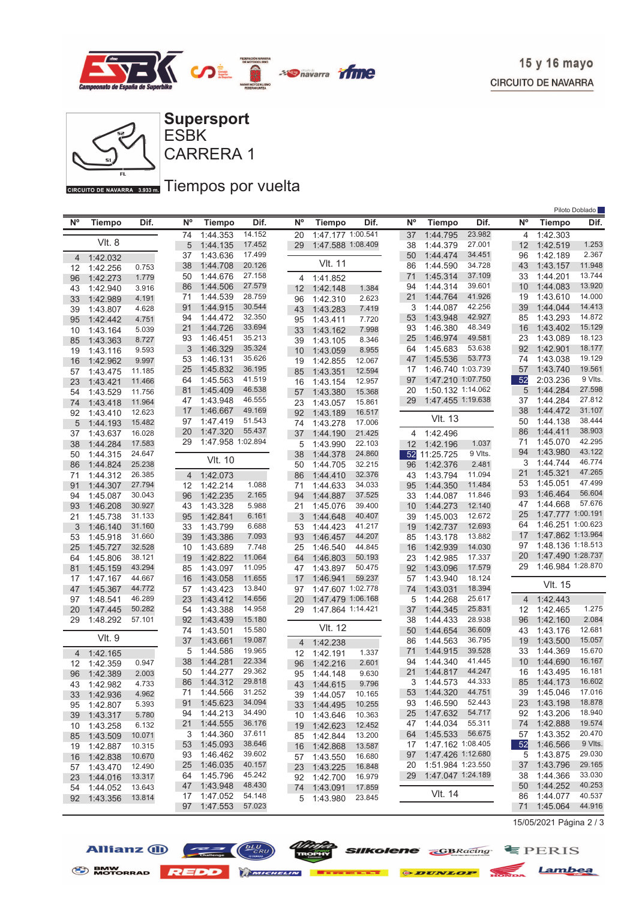

Piloto Doblado



CARRERA 1 ESBK

GIRCUITO DE NAVARRA 3.933mm Tiempos por vuelta

| <b>N°</b> | <b>Tiempo</b>        | Dif.             | Ν°                   | <b>Tiempo</b>        | Dif.             | $N^{\circ}$ | <b>Tiempo</b>           | Dif.             | $N^{\circ}$ | <b>Tiempo</b>         | Dif.             | <b>N°</b> | <b>Tiempo</b>        | <b>FIIULU DUDIAUU</b><br>Dif. |
|-----------|----------------------|------------------|----------------------|----------------------|------------------|-------------|-------------------------|------------------|-------------|-----------------------|------------------|-----------|----------------------|-------------------------------|
|           |                      |                  | 74                   | 1:44.353             | 14.152           | 20          | 1:47.177 1:00.541       |                  | 37          | 1:44.795              | 23.982           | 4         | 1:42.303             |                               |
|           | VIt. 8               |                  | 5                    | 1:44.135             | 17.452           | 29          | 1:47.588 1:08.409       |                  | 38          | 1:44.379              | 27.001           | 12        | 1:42.519             | 1.253                         |
| 4         | 1:42.032             |                  | 37                   | 1:43.636             | 17.499           |             |                         |                  | 50          | 1:44.474              | 34.451           | 96        | 1:42.189             | 2.367                         |
| 12        | 1:42.256             | 0.753            | 38                   | 1:44.708             | 20.126           |             | <b>VIt. 11</b>          |                  | 86          | 1:44.590              | 34.728           | 43        | 1:43.157             | 11.948                        |
| 96        | 1:42.273             | 1.779            | 50                   | 1:44.676             | 27.158           | 4           | 1:41.852                |                  | 71          | 1:45.314              | 37.109           | 33        | 1:44.201             | 13.744                        |
| 43        | 1:42.940             | 3.916            | 86                   | 1:44.506             | 27.579           | 12          | 1:42.148                | 1.384            | 94          | 1:44.314              | 39.601           | 10        | 1:44.083             | 13.920                        |
| 33        | 1:42.989             | 4.191            | 71                   | 1:44.539             | 28.759           | 96          | 1:42.310                | 2.623            | 21          | 1:44.764              | 41.926           | 19        | 1:43.610             | 14.000                        |
| 39        | 1:43.807             | 4.628            | 91                   | 1:44.915             | 30.544           | 43          | 1:43.283                | 7.419            | 3           | 1:44.087              | 42.256           | 39        | 1:44.044             | 14.413                        |
| 95        | 1:42.442             | 4.751            | 94                   | 1:44.472             | 32.350           | 95          | 1:43.411                | 7.720            | 53          | 1:43.948              | 42.927           | 85        | 1:43.293             | 14.872                        |
| 10        | 1:43.164             | 5.039            | 21                   | 1:44.726             | 33.694           | 33          | 1:43.162                | 7.998            | 93          | 1:46.380              | 48.349           | 16        | 1:43.402             | 15.129                        |
| 85        | 1:43.363             | 8.727            | 93                   | 1:46.451             | 35.213           | 39          | 1:43.105                | 8.346            | 25          | 1:46.974              | 49.581           | 23        | 1:43.089             | 18.123                        |
| 19        | 1:43.116             | 9.593            | 3                    | 1:46.329             | 35.324           | 10          | 1:43.059                | 8.955            | 64          | 1:45.683              | 53.638           | 92        | 1:42.901             | 18.177                        |
| 16        | 1:42.962             | 9.997            | 53                   | 1:46.131             | 35.626           | 19          | 1:42.855                | 12.067           | 47          | 1:45.536              | 53.773           | 74        | 1:43.038             | 19.129                        |
| 57        | 1:43.475             | 11.185           | 25                   | 1:45.832             | 36.195           | 85          | 1:43.351                | 12.594           | 17          | 1:46.740 1:03.739     |                  | 57        | 1:43.740             | 19.561                        |
| 23        | 1:43.421             | 11.466           | 64                   | 1:45.563             | 41.519           | 16          | 1:43.154                | 12.957           | 97          | 1:47.210 1:07.750     |                  | 52        | 2:03.236             | 9 Vlts.                       |
| 54        | 1:43.529             | 11.756           | 81                   | 1:45.409             | 46.538<br>46.555 | 57          | 1:43.380                | 15.368           | 20          | 1:50.132 1:14.062     |                  | 5         | 1:44.284             | 27.598<br>27.812              |
| 74        | 1:43.418             | 11.964           | 47                   | 1:43.948             | 49.169           | 23          | 1:43.057                | 15.861           | 29          | 1:47.455 1:19.638     |                  | 37<br>38  | 1:44.284<br>1:44.472 | 31.107                        |
| 92        | 1:43.410             | 12.623           | 17<br>97             | 1:46.667<br>1:47.419 | 51.543           | 92          | 1:43.189                | 16.517           |             | <b>VIt. 13</b>        |                  | 50        | 1:44.138             | 38.444                        |
| 5         | 1:44.193             | 15.482           | 20                   | 1:47.320             | 55.437           | 74          | 1:43.278                | 17.006           |             |                       |                  | 86        | 1:44.411             | 38.903                        |
| 37        | 1:43.637             | 16.028           | 29                   | 1:47.958 1:02.894    |                  | 37          | 1:44.190<br>1:43.990    | 21.425           | 4           | 1:42.496              |                  | 71        | 1:45.070             | 42.295                        |
| 38        | 1:44.284             | 17.583<br>24.647 |                      |                      |                  | 5           |                         | 22.103<br>24.860 | 12          | 1:42.196<br>11:25.725 | 1.037<br>9 Vlts. | 94        | 1:43.980             | 43.122                        |
| 50        | 1:44.315             | 25.238           |                      | <b>VIt. 10</b>       |                  | 38          | 1:44.378                | 32.215           | 52          | 1:42.376              | 2.481            | 3         | 1:44.744             | 46.774                        |
| 86        | 1:44.824             | 26.385           |                      |                      |                  | 50          | 1:44.705                | 32.376           | 96          |                       | 11.094           | 21        | 1:45.321             | 47.265                        |
| 71<br>91  | 1:44.312<br>1:44.307 | 27.794           | $\overline{4}$<br>12 | 1:42.073<br>1:42.214 | 1.088            | 86<br>71    | 1:44.410<br>1:44.633    | 34.033           | 43<br>95    | 1:43.794<br>1:44.350  | 11.484           | 53        | 1:45.051             | 47.499                        |
| 94        | 1:45.087             | 30.043           | 96                   | 1:42.235             | 2.165            | 94          | 1:44.887                | 37.525           | 33          | 1:44.087              | 11.846           | 93        | 1:46.464             | 56.604                        |
| 93        | 1:46.208             | 30.927           | 43                   | 1:43.328             | 5.988            | 21          | 1:45.076                | 39.400           | 10          | 1:44.273              | 12.140           | 47        | 1:44.668             | 57.676                        |
| 21        | 1:45.738             | 31.133           | 95                   | 1:42.841             | 6.161            | 3           | 1:44.648                | 40.407           | 39          | 1:45.003              | 12.672           | 25        | 1:47.777 1:00.191    |                               |
| 3         | 1:46.140             | 31.160           | 33                   | 1:43.799             | 6.688            | 53          | 1:44.423                | 41.217           | 19          | 1:42.737              | 12.693           | 64        | 1:46.251 1:00.623    |                               |
| 53        | 1:45.918             | 31.660           | 39                   | 1:43.386             | 7.093            | 93          | 1:46.457                | 44.207           | 85          | 1:43.178              | 13.882           | 17        | 1:47.862 1:13.964    |                               |
| 25        | 1:45.727             | 32.528           | 10                   | 1:43.689             | 7.748            | 25          | 1:46.540                | 44.845           | 16          | 1:42.939              | 14.030           | 97        | 1:48.136 1:18.513    |                               |
| 64        | 1:45.806             | 38.121           | 19                   | 1:42.822             | 11.064           | 64          | 1:46.803                | 50.193           | 23          | 1:42.985              | 17.337           | 20        | 1:47.490 1:28.737    |                               |
| 81        | 1:45.159             | 43.294           | 85                   | 1:43.097             | 11.095           | 47          | 1:43.897                | 50.475           | 92          | 1:43.096              | 17.579           | 29        | 1:46.984 1:28.870    |                               |
| 17        | 1:47.167             | 44.667           | 16                   | 1:43.058             | 11.655           | 17          | 1:46.941                | 59.237           | 57          | 1:43.940              | 18.124           |           |                      |                               |
| 47        | 1:45.367             | 44.772           | 57                   | 1:43.423             | 13.840           | 97          | 1:47.607 1:02.778       |                  | 74          | 1:43.031              | 18.394           |           | <b>VIt. 15</b>       |                               |
| 97        | 1:48.541             | 46.289           | 23                   | 1:43.412             | 14.656           | 20          | 1:47.479 1:06.168       |                  | 5           | 1:44.268              | 25.617           | 4         | 1:42.443             |                               |
| 20        | 1:47.445             | 50.282           | 54                   | 1:43.388             | 14.958           | 29          | 1:47.864 1:14.421       |                  | 37          | 1:44.345              | 25.831           | 12        | 1:42.465             | 1.275                         |
| 29        | 1:48.292             | 57.101           | 92                   | 1:43.439             | 15.180           |             |                         |                  | 38          | 1:44.433              | 28.938           | 96        | 1:42.160             | 2.084                         |
|           |                      |                  | 74                   | 1:43.501             | 15.580           |             | VIt. 12                 |                  | 50          | 1:44.654              | 36.609           | 43        | 1:43.176             | 12.681                        |
|           | VIt. 9               |                  | 37                   | 1:43.661             | 19.087           | 4           | 1:42.238                |                  | 86          | 1:44.563              | 36.795           | 19        | 1:43.500             | 15.057                        |
| 4         | 1:42.165             |                  | 5                    | 1:44.586             | 19.965           | 12          | 1:42.191                | 1.337            | 71          | 1:44.915              | 39.528           | 33        | 1:44.369             | 15.670                        |
| 12        | 1:42.359             | 0.947            | 38                   | 1:44.281             | 22.334           | 96          | 1:42.216                | 2.601            | 94          | 1:44.340              | 41.445           | 10        | 1:44.690             | 16.167                        |
| 96        | 1:42.389             | 2.003            | 50                   | 1:44.277             | 29.362           | 95          | 1:44.148                | 9.630            | 21          | 1:44.817              | 44.247           | 16        | 1:43.495             | 16.181                        |
| 43        | 1:42.982             | 4.733            | 86                   | 1:44.312             | 29.818           | 43          | 1:44.615                | 9.796            | 3           | 1:44.573              | 44.333           | 85        | 1:44.173             | 16.602                        |
| 33        | 1:42.936             | 4.962            | 71                   | 1:44.566             | 31.252           | 39          | 1:44.057                | 10.165           | 53          | 1:44.320              | 44.751           | 39        | 1:45.046             | 17.016                        |
| 95        | 1:42.807             | 5.393            | 91                   | 1:45.623             | 34.094           | 33          | 1:44.495                | 10.255           | 93          | 1:46.590              | 52.443<br>54.717 | 23        | 1:43.198<br>1:43.206 | 18.878<br>18.940              |
| 39        | 1:43.317             | 5.780            | 94                   | 1:44.213             | 34.490           | 10          | 1:43.646                | 10.363           | 25          | 1:47.632              | 55.311           | 92        |                      | 19.574                        |
| 10        | 1:43.258             | 6.132            | 21<br>3              | 1:44.555<br>1:44.360 | 36.176<br>37.611 | 19          | 1:42.623                | 12.452           | 47<br>64    | 1:44.034<br>1:45.533  | 56.675           | 74<br>57  | 1:42.888<br>1:43.352 | 20.470                        |
| 85        | 1:43.509             | 10.071           | 53                   | 1:45.093             | 38.646           |             | 85 1:42.844             | 13.200           | 17          | 1:47.162 1:08.405     |                  | 52        | 1:46.566             | 9 Vlts.                       |
| 19        | 1:42.887             | 10.315           | 93                   | 1:46.462             | 39.602           | 16          | 1:42.868                | 13.587           | 97          | 1:47.426 1:12.680     |                  | 5         | 1:43.875             | 29.030                        |
| 16        | 1:42.838             | 10.670           | 25                   | 1:46.035             | 40.157           |             | 57 1:43.550             | 16.680           | 20          | 1:51.984 1:23.550     |                  | 37        | 1:43.796             | 29.165                        |
| 57        | 1:43.470<br>1:44.016 | 12.490<br>13.317 | 64                   | 1:45.796             | 45.242           | 23          | 1:43.225<br>92 1:42.700 | 16.848<br>16.979 | 29          | 1:47.047 1:24.189     |                  | 38        | 1:44.366             | 33.030                        |
| 23        | 1:44.052             | 13.643           | 47                   | 1:43.948             | 48.430           |             | 74 1:43.091             | 17.859           |             |                       |                  | 50        | 1:44.252             | 40.253                        |
| 54<br>92  | 1:43.356             | 13.814           | 17                   | 1:47.052             | 54.148           | 5.          | 1:43.980                | 23.845           |             | VIt. 14               |                  | 86        | 1:44.077             | 40.537                        |
|           |                      |                  | 97                   | 1:47.553             | 57.023           |             |                         |                  |             |                       |                  | 71        | 1:45.064             | 44.916                        |

15/05/2021 Página 2 / 3







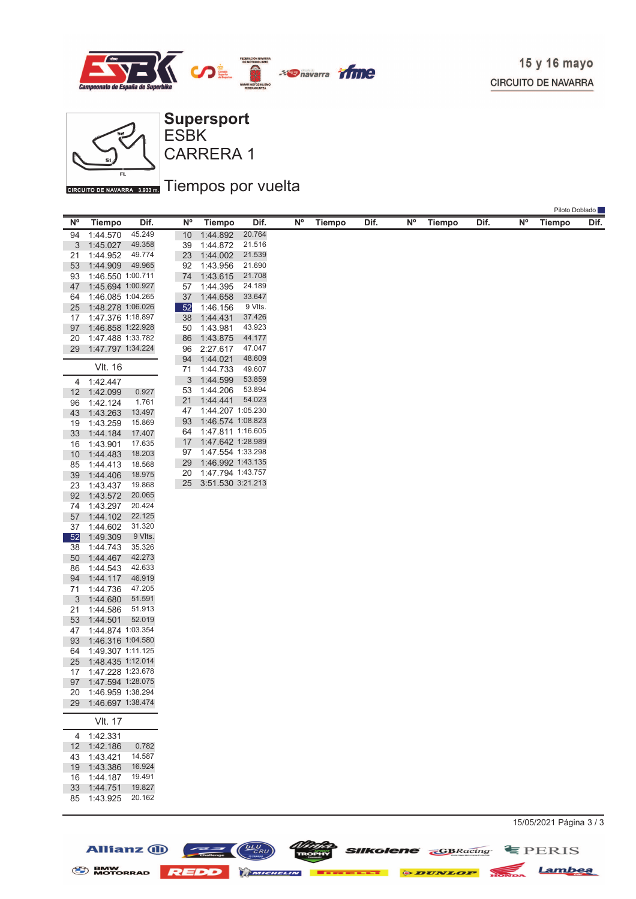



**Allianz (ii)** 

 $\frac{bLU}{CRU}$ 

 $\equiv$   $\equiv$   $\equiv$   $\equiv$ 

CARRERA 1 ESBK **Supersport**

### GIRCUITO DE NAVARRA 3.933mm Tiempos por vuelta

|          |                      |                  |          |                      |                  |           |               |      |    |               |      |           |               | Piloto Doblado |
|----------|----------------------|------------------|----------|----------------------|------------------|-----------|---------------|------|----|---------------|------|-----------|---------------|----------------|
| Ν°       | <b>Tiempo</b>        | Dif.             | N°       | Tiempo               | Dif.             | <b>N°</b> | <b>Tiempo</b> | Dif. | N° | <b>Tiempo</b> | Dif. | <b>N°</b> | <b>Tiempo</b> | Dif.           |
| 94       | 1:44.570             | 45.249           | 10       | 1:44.892             | 20.764           |           |               |      |    |               |      |           |               |                |
| 3        | 1:45.027             | 49.358           | 39       | 1:44.872             | 21.516           |           |               |      |    |               |      |           |               |                |
| 21       | 1:44.952             | 49.774           | 23       | 1:44.002             | 21.539           |           |               |      |    |               |      |           |               |                |
| 53       | 1:44.909             | 49.965           | 92       | 1:43.956             | 21.690           |           |               |      |    |               |      |           |               |                |
| 93       | 1:46.550 1:00.711    |                  | 74       | 1:43.615             | 21.708           |           |               |      |    |               |      |           |               |                |
| 47       | 1:45.694 1:00.927    |                  | 57       | 1:44.395             | 24.189           |           |               |      |    |               |      |           |               |                |
| 64       | 1:46.085 1:04.265    |                  | 37       | 1:44.658             | 33.647           |           |               |      |    |               |      |           |               |                |
| 25       | 1:48.278 1:06.026    |                  | 52       | 1:46.156             | 9 Vlts.          |           |               |      |    |               |      |           |               |                |
| 17       | 1:47.376 1:18.897    |                  | 38       | 1:44.431             | 37.426           |           |               |      |    |               |      |           |               |                |
| 97       | 1:46.858 1:22.928    |                  | 50       | 1:43.981             | 43.923           |           |               |      |    |               |      |           |               |                |
| 20       | 1:47.488 1:33.782    |                  | 86       | 1:43.875             | 44.177           |           |               |      |    |               |      |           |               |                |
| 29       | 1:47.797 1:34.224    |                  | 96       | 2:27.617             | 47.047           |           |               |      |    |               |      |           |               |                |
|          | VIt. 16              |                  | 94<br>71 | 1:44.021<br>1:44.733 | 48.609<br>49.607 |           |               |      |    |               |      |           |               |                |
|          |                      |                  | 3        | 1:44.599             | 53.859           |           |               |      |    |               |      |           |               |                |
|          | 4 1:42.447           | 0.927            | 53       | 1:44.206             | 53.894           |           |               |      |    |               |      |           |               |                |
| 12       | 1:42.099<br>1:42.124 | 1.761            | 21       | 1:44.441             | 54.023           |           |               |      |    |               |      |           |               |                |
| 96<br>43 | 1:43.263             | 13.497           | 47       | 1:44.207 1:05.230    |                  |           |               |      |    |               |      |           |               |                |
| 19       | 1:43.259             | 15.869           | 93       | 1:46.574 1:08.823    |                  |           |               |      |    |               |      |           |               |                |
| 33       | 1:44.184             | 17.407           | 64       | 1:47.811 1:16.605    |                  |           |               |      |    |               |      |           |               |                |
| 16       | 1:43.901             | 17.635           | 17       | 1:47.642 1:28.989    |                  |           |               |      |    |               |      |           |               |                |
| 10       | 1:44.483             | 18.203           | 97       | 1:47.554 1:33.298    |                  |           |               |      |    |               |      |           |               |                |
| 85       | 1:44.413             | 18.568           | 29       | 1:46.992 1:43.135    |                  |           |               |      |    |               |      |           |               |                |
| 39       | 1:44.406             | 18.975           | 20       | 1:47.794 1:43.757    |                  |           |               |      |    |               |      |           |               |                |
| 23       | 1:43.437             | 19.868           | 25       | 3:51.530 3:21.213    |                  |           |               |      |    |               |      |           |               |                |
| 92       | 1:43.572             | 20.065           |          |                      |                  |           |               |      |    |               |      |           |               |                |
| 74       | 1:43.297             | 20.424           |          |                      |                  |           |               |      |    |               |      |           |               |                |
| 57       | 1:44.102             | 22.125           |          |                      |                  |           |               |      |    |               |      |           |               |                |
| 37       | 1:44.602             | 31.320           |          |                      |                  |           |               |      |    |               |      |           |               |                |
| 52       | 1:49.309             | 9 VIts.          |          |                      |                  |           |               |      |    |               |      |           |               |                |
| 38       | 1:44.743             | 35.326           |          |                      |                  |           |               |      |    |               |      |           |               |                |
| 50       | 1:44.467<br>1:44.543 | 42.273<br>42.633 |          |                      |                  |           |               |      |    |               |      |           |               |                |
| 86<br>94 | 1:44.117             | 46.919           |          |                      |                  |           |               |      |    |               |      |           |               |                |
| 71       | 1:44.736             | 47.205           |          |                      |                  |           |               |      |    |               |      |           |               |                |
| 3        | 1:44.680             | 51.591           |          |                      |                  |           |               |      |    |               |      |           |               |                |
| 21       | 1:44.586             | 51.913           |          |                      |                  |           |               |      |    |               |      |           |               |                |
| 53       | 1:44.501             | 52.019           |          |                      |                  |           |               |      |    |               |      |           |               |                |
| 47       | 1:44.874 1:03.354    |                  |          |                      |                  |           |               |      |    |               |      |           |               |                |
| 93       | 1:46.316 1:04.580    |                  |          |                      |                  |           |               |      |    |               |      |           |               |                |
| 64       | 1:49.307 1:11.125    |                  |          |                      |                  |           |               |      |    |               |      |           |               |                |
| 25       | 1:48.435 1:12.014    |                  |          |                      |                  |           |               |      |    |               |      |           |               |                |
| 17       | 1:47.228 1:23.678    |                  |          |                      |                  |           |               |      |    |               |      |           |               |                |
|          | 97 1:47.594 1:28.075 |                  |          |                      |                  |           |               |      |    |               |      |           |               |                |
| 20       | 1:46.959 1:38.294    |                  |          |                      |                  |           |               |      |    |               |      |           |               |                |
| 29       | 1:46.697 1:38.474    |                  |          |                      |                  |           |               |      |    |               |      |           |               |                |
|          | <b>VIt. 17</b>       |                  |          |                      |                  |           |               |      |    |               |      |           |               |                |
|          | 4 1:42.331           |                  |          |                      |                  |           |               |      |    |               |      |           |               |                |
| 12       | 1:42.186             | 0.782            |          |                      |                  |           |               |      |    |               |      |           |               |                |
| 43       | 1:43.421             | 14.587           |          |                      |                  |           |               |      |    |               |      |           |               |                |
| 19       | 1:43.386             | 16.924           |          |                      |                  |           |               |      |    |               |      |           |               |                |
| 16       | 1:44.187             | 19.491           |          |                      |                  |           |               |      |    |               |      |           |               |                |
| 33       | 1:44.751             | 19.827           |          |                      |                  |           |               |      |    |               |      |           |               |                |
| 85       | 1:43.925             | 20.162           |          |                      |                  |           |               |      |    |               |      |           |               |                |
|          |                      |                  |          |                      |                  |           |               |      |    |               |      |           |               |                |

BMW MOTORRAD REDD MINIMULATE DE DUNLOP HONDA Lambea

15/05/2021 Página 3 / 3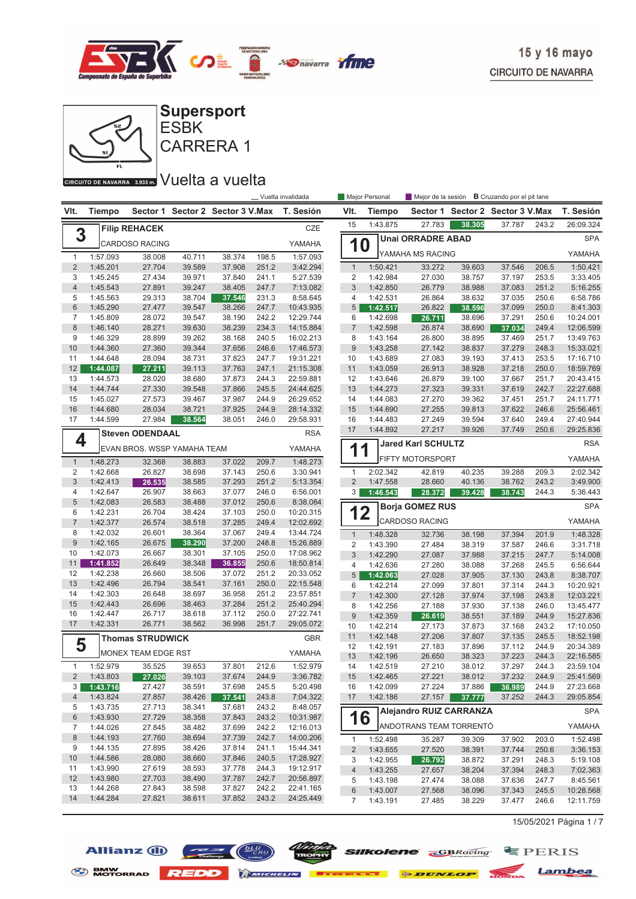



#### CIRCUITO DE NAVARRA 3.933 m. VUelta a vuelta

|                         |                      |                             |                  |                         |                | __ Vuelta invalidada   |                         | Mejor Personal       | Mejor de la sesión             |                  | <b>B</b> Cruzando por el pit lane |                |                        |
|-------------------------|----------------------|-----------------------------|------------------|-------------------------|----------------|------------------------|-------------------------|----------------------|--------------------------------|------------------|-----------------------------------|----------------|------------------------|
| VIt.                    | <b>Tiempo</b>        | Sector 1                    |                  | Sector 2 Sector 3 V.Max |                | T. Sesión              | VIt.                    | Tiempo               |                                |                  | Sector 1 Sector 2 Sector 3 V.Max  |                | T. Sesión              |
| 3                       |                      | <b>Filip REHACEK</b>        |                  |                         |                | CZE                    | 15                      | 1:43.875             | 27.783                         | 38.305           | 37.787                            | 243.2          | 26:09.324              |
|                         |                      | <b>CARDOSO RACING</b>       |                  |                         |                | YAMAHA                 | 10                      |                      | <b>Unai ORRADRE ABAD</b>       |                  |                                   |                | <b>SPA</b>             |
| $\mathbf{1}$            | 1:57.093             | 38.008                      | 40.711           | 38.374                  | 198.5          | 1:57.093               |                         |                      | YAMAHA MS RACING               |                  |                                   |                | YAMAHA                 |
| $\overline{2}$          | 1:45.201             | 27.704                      | 39.589           | 37.908                  | 251.2          | 3:42.294               | $\mathbf{1}$            | 1:50.421             | 33.272                         | 39.603           | 37.546                            | 206.5          | 1:50.421               |
| 3                       | 1:45.245             | 27.434                      | 39.971           | 37.840                  | 241.1          | 5:27.539               | $\overline{2}$          | 1:42.984             | 27.030                         | 38.757           | 37.197                            | 253.5          | 3:33.405               |
| $\overline{4}$          | 1:45.543             | 27.891                      | 39.247           | 38.405                  | 247.7          | 7:13.082               | 3                       | 1:42.850             | 26.779                         | 38.988           | 37.083                            | 251.2          | 5:16.255               |
| 5                       | 1:45.563             | 29.313                      | 38.704           | 37.546                  | 231.3          | 8:58.645               | 4                       | 1:42.531             | 26.864                         | 38.632           | 37.035                            | 250.6          | 6:58.786               |
| $6\,$                   | 1:45.290             | 27.477                      | 39.547           | 38.266                  | 247.7          | 10:43.935              | 5 <sup>5</sup>          | 1:42.517             | 26.822                         | 38.596           | 37.099                            | 250.0          | 8:41.303               |
| $\overline{7}$          | 1:45.809             | 28.072                      | 39.547           | 38.190                  | 242.2          | 12:29.744              | 6                       | 1:42.698             | 26.711                         | 38.696           | 37.291                            | 250.6          | 10:24.001              |
| $\,8\,$                 | 1:46.140             | 28.271                      | 39.630           | 38.239                  | 234.3          | 14:15.884              | $\overline{7}$          | 1:42.598             | 26.874                         | 38.690           | 37.034                            | 249.4          | 12:06.599              |
| 9                       | 1:46.329             | 28.899                      | 39.262           | 38.168                  | 240.5          | 16:02.213              | 8                       | 1:43.164             | 26.800                         | 38.895           | 37.469                            | 251.7          | 13:49.763              |
| 10                      | 1:44.360             | 27.360                      | 39.344           | 37.656                  | 246.6          | 17:46.573              | $9\,$                   | 1:43.258             | 27.142                         | 38.837           | 37.279                            | 248.3          | 15:33.021              |
| 11                      | 1:44.648             | 28.094                      | 38.731           | 37.823                  | 247.7          | 19:31.221              | 10                      | 1:43.689             | 27.083                         | 39.193           | 37.413                            | 253.5          | 17:16.710              |
| 12                      | 1:44.087             | 27.211                      | 39.113           | 37.763                  | 247.1          | 21:15.308              | 11                      | 1:43.059             | 26.913                         | 38.928           | 37.218                            | 250.0          | 18:59.769              |
| 13                      | 1:44.573             | 28.020                      | 38.680           | 37.873                  | 244.3          | 22:59.881              | 12                      | 1:43.646             | 26.879                         | 39.100           | 37.667                            | 251.7          | 20:43.415              |
| 14                      | 1:44.744             | 27.330                      | 39.548           | 37.866                  | 245.5          | 24:44.625              | 13                      | 1:44.273             | 27.323                         | 39.331           | 37.619                            | 242.7          | 22:27.688              |
| 15                      | 1:45.027             | 27.573                      | 39.467           | 37.987                  | 244.9          | 26:29.652              | 14                      | 1:44.083             | 27.270                         | 39.362           | 37.451                            | 251.7          | 24:11.771              |
| 16<br>17                | 1:44.680<br>1:44.599 | 28.034<br>27.984            | 38.721<br>38.564 | 37.925<br>38.051        | 244.9<br>246.0 | 28:14.332<br>29:58.931 | 15<br>16                | 1:44.690<br>1:44.483 | 27.255<br>27.249               | 39.813<br>39.594 | 37.622<br>37.640                  | 246.6<br>249.4 | 25:56.461<br>27:40.944 |
|                         |                      |                             |                  |                         |                |                        | 17                      | 1:44.892             | 27.217                         | 39.926           | 37.749                            | 250.6          | 29:25.836              |
| 4                       |                      | <b>Steven ODENDAAL</b>      |                  |                         |                | <b>RSA</b>             |                         |                      |                                |                  |                                   |                |                        |
|                         |                      | EVAN BROS. WSSP YAMAHA TEAM |                  |                         |                | YAMAHA                 | 11                      |                      | <b>Jared Karl SCHULTZ</b>      |                  |                                   |                | <b>RSA</b>             |
| $\mathbf{1}$            | 1:48.273             | 32.368                      | 38.883           | 37.022                  | 209.7          | 1:48.273               |                         |                      | <b>FIFTY MOTORSPORT</b>        |                  |                                   |                | YAMAHA                 |
| $\overline{2}$          | 1:42.668             | 26.827                      | 38.698           | 37.143                  | 250.6          | 3:30.941               | $\mathbf{1}$            | 2:02.342             | 42.819                         | 40.235           | 39.288                            | 209.3          | 2:02.342               |
| 3                       | 1:42.413             | 26.535                      | 38.585           | 37.293                  | 251.2          | 5:13.354               | $\overline{2}$          | 1:47.558             | 28.660                         | 40.136           | 38.762                            | 243.2          | 3:49.900               |
| 4                       | 1:42.647             | 26.907                      | 38.663           | 37.077                  | 246.0          | 6:56.001               | 3                       | 1:46.543             | 28.372                         | 39.428           | 38.743                            | 244.3          | 5:36.443               |
| $\sqrt{5}$              | 1:42.083             | 26.583                      | 38.488           | 37.012                  | 250.6          | 8:38.084               |                         |                      | <b>Borja GOMEZ RUS</b>         |                  |                                   |                | <b>SPA</b>             |
| 6                       | 1:42.231             | 26.704                      | 38.424           | 37.103                  | 250.0          | 10:20.315              | 12                      |                      |                                |                  |                                   |                |                        |
| $\overline{7}$          | 1:42.377             | 26.574                      | 38.518           | 37.285                  | 249.4          | 12:02.692              |                         |                      | <b>CARDOSO RACING</b>          |                  |                                   |                | YAMAHA                 |
| 8<br>9                  | 1:42.032             | 26.601                      | 38.364           | 37.067                  | 249.4          | 13:44.724              | $\mathbf{1}$            | 1:48.328             | 32.736                         | 38.198           | 37.394                            | 201.9          | 1:48.328               |
| 10                      | 1:42.165<br>1:42.073 | 26.675<br>26.667            | 38.290<br>38.301 | 37.200<br>37.105        | 248.8<br>250.0 | 15:26.889<br>17:08.962 | $\overline{\mathbf{c}}$ | 1:43.390             | 27.484                         | 38.319           | 37.587                            | 246.6          | 3:31.718               |
| 11                      | 1:41.852             | 26.649                      | 38.348           | 36.855                  | 250.6          | 18:50.814              | 3                       | 1:42.290             | 27.087                         | 37.988           | 37.215                            | 247.7          | 5:14.008               |
| 12                      | 1:42.238             | 26.660                      | 38.506           | 37.072                  | 251.2          | 20:33.052              | 4                       | 1:42.636             | 27.280                         | 38.088           | 37.268                            | 245.5          | 6:56.644               |
| 13                      | 1:42.496             | 26.794                      | 38.541           | 37.161                  | 250.0          | 22:15.548              | 5 <sup>5</sup>          | 1:42.063             | 27.028                         | 37.905           | 37.130                            | 243.8          | 8:38.707               |
| 14                      | 1:42.303             | 26.648                      | 38.697           | 36.958                  | 251.2          | 23:57.851              | 6<br>$\overline{7}$     | 1:42.214<br>1:42.300 | 27.099<br>27.128               | 37.801<br>37.974 | 37.314                            | 244.3<br>243.8 | 10:20.921<br>12:03.221 |
| 15                      | 1:42.443             | 26.696                      | 38.463           | 37.284                  | 251.2          | 25:40.294              | 8                       | 1:42.256             | 27.188                         | 37.930           | 37.198<br>37.138                  | 246.0          | 13:45.477              |
| 16                      | 1:42.447             | 26.717                      | 38.618           | 37.112                  | 250.0          | 27:22.741              | 9                       | 1:42.359             | 26.619                         | 38.551           | 37.189                            | 244.9          | 15:27.836              |
| 17                      | 1:42.331             | 26.771                      | 38.562           | 36.998                  | 251.7          | 29:05.072              | 10                      | 1:42.214             | 27.173                         | 37.873           | 37.168                            | 243.2          | 17:10.050              |
|                         |                      | <b>Thomas STRUDWICK</b>     |                  |                         |                |                        | 11                      | 1:42.148             | 27.206                         | 37.807           | 37.135                            | 245.5          | 18:52.198              |
| 5                       |                      |                             |                  |                         |                | <b>GBR</b>             | 12                      | 1:42.191             | 27.183                         | 37.896           | 37.112                            | 244.9          | 20:34.389              |
|                         |                      | MONEX TEAM EDGE RST         |                  |                         |                | YAMAHA                 | 13                      | 1:42.196             | 26.650                         | 38.323           | 37.223                            | 244.3          | 22:16.585              |
| 1                       | 1:52.979             | 35.525                      | 39.653           | 37.801                  | 212.6          | 1:52.979               | 14                      | 1:42.519             | 27.210                         | 38.012           | 37.297                            | 244.3          | 23:59.104              |
| $\overline{\mathbf{c}}$ | 1:43.803             | 27.026                      | 39.103           | 37.674                  | 244.9          | 3:36.782               | 15                      | 1:42.465             | 27.221                         | 38.012           | 37.232                            | 244.9          | 25:41.569              |
| 3                       | 1:43.716             | 27.427                      | 38.591           | 37.698                  | 245.5          | 5:20.498               | 16                      | 1:42.099             | 27.224                         | 37.886           | 36.989                            | 244.9          | 27:23.668              |
| 4                       | 1:43.824             | 27.857                      | 38.426           | 37.541                  | 243.8          | 7:04.322               | 17                      | 1:42.186             | 27.157                         | 37.777           | 37.252                            | 244.3          | 29:05.854              |
| 5                       | 1:43.735             | 27.713                      | 38.341           | 37.681                  | 243.2          | 8:48.057               |                         |                      | <b>Alejandro RUIZ CARRANZA</b> |                  |                                   |                | <b>SPA</b>             |
| $6\,$                   | 1:43.930             | 27.729                      | 38.358           | 37.843                  | 243.2          | 10:31.987              | 16                      |                      |                                |                  |                                   |                |                        |
| 7                       | 1:44.026             | 27.845                      | 38.482           | 37.699                  | 242.2          | 12:16.013              |                         |                      | ANDOTRANS TEAM TORRENTÓ        |                  |                                   |                | YAMAHA                 |
| $\,8\,$                 | 1:44.193             | 27.760                      | 38.694           | 37.739                  | 242.7          | 14:00.206              | $\mathbf{1}$            | 1:52.498             | 35.287                         | 39.309           | 37.902                            | 203.0          | 1:52.498               |
| 9                       | 1:44.135             | 27.895                      | 38.426           | 37.814                  | 241.1          | 15:44.341              | $\overline{c}$          | 1:43.655             | 27.520                         | 38.391           | 37.744                            | 250.6          | 3:36.153               |
| 10                      | 1:44.586             | 28.080                      | 38.660           | 37.846                  | 240.5          | 17:28.927              | 3                       | 1:42.955             | 26.792                         | 38.872           | 37.291                            | 248.3          | 5:19.108               |
| 11                      | 1:43.990             | 27.619                      | 38.593           | 37.778                  | 244.3          | 19:12.917              | $\overline{4}$          | 1:43.255             | 27.657                         | 38.204           | 37.394                            | 248.3          | 7:02.363               |
| 12                      | 1:43.980             | 27.703                      | 38.490           | 37.787                  | 242.7          | 20:56.897              | 5                       | 1:43.198             | 27.474                         | 38.088           | 37.636                            | 247.7          | 8:45.561               |
| 13                      | 1:44.268             | 27.843                      | 38.598           | 37.827                  | 242.2          | 22:41.165              | 6                       | 1:43.007             | 27.568                         | 38.096           | 37.343                            | 245.5          | 10:28.568              |
| 14                      | 1:44.284             | 27.821                      | 38.611           | 37.852                  | 243.2          | 24:25.449              | 7                       | 1:43.191             | 27.485                         | 38.229           | 37.477                            | 246.6          | 12:11.759              |

15/05/2021 Página 1 / 7





S BMW REDD MICHELIN **BERKELLE & DUNLOP** MONDA Lambea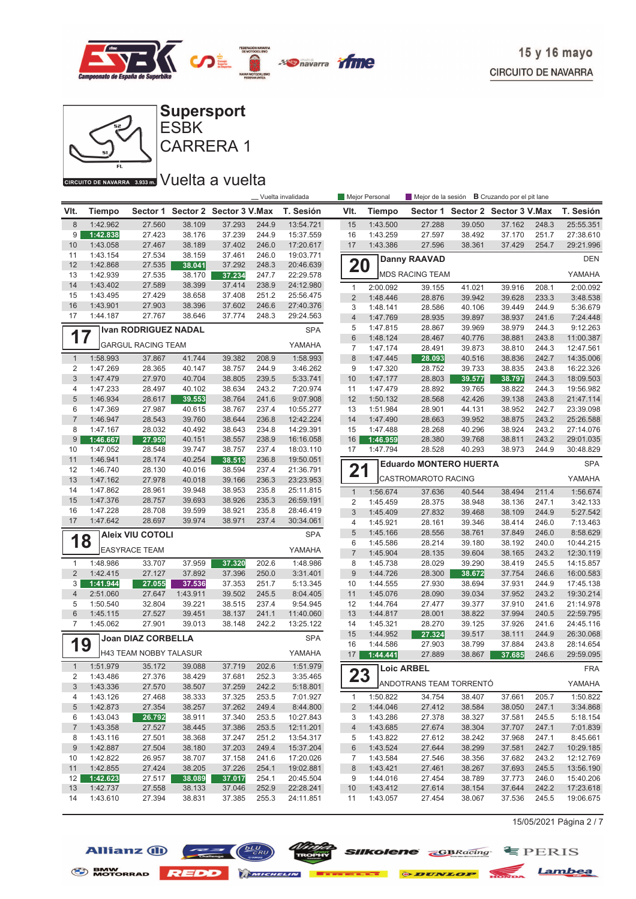



#### CIRCUITO DE NAVARRA 3.933 m. VUelta a vuelta

|                            |                      |                           |                  |                                  |                | _ Vuelta invalidada    |                     | Mejor Personal       | Mejor de la sesión <b>B</b> Cruzando por el pit lane |                  |                                  |                |                        |
|----------------------------|----------------------|---------------------------|------------------|----------------------------------|----------------|------------------------|---------------------|----------------------|------------------------------------------------------|------------------|----------------------------------|----------------|------------------------|
| VIt.                       | <b>Tiempo</b>        |                           |                  | Sector 1 Sector 2 Sector 3 V.Max |                | T. Sesión              | VIt.                | <b>Tiempo</b>        |                                                      |                  | Sector 1 Sector 2 Sector 3 V.Max |                | T. Sesión              |
| $\,8\,$                    | 1:42.962             | 27.560                    | 38.109           | 37.293                           | 244.9          | 13:54.721              | 15                  | 1:43.500             | 27.288                                               | 39.050           | 37.162                           | 248.3          | 25:55.351              |
| 9                          | 1:42.838             | 27.423                    | 38.176           | 37.239                           | 244.9          | 15:37.559              | 16                  | 1:43.259             | 27.597                                               | 38.492           | 37.170                           | 251.7          | 27:38.610              |
| 10                         | 1:43.058             | 27.467                    | 38.189           | 37.402                           | 246.0          | 17:20.617              | 17                  | 1:43.386             | 27.596                                               | 38.361           | 37.429                           | 254.7          | 29:21.996              |
| 11                         | 1:43.154             | 27.534                    | 38.159           | 37.461                           | 246.0          | 19:03.771              |                     |                      | <b>Danny RAAVAD</b>                                  |                  |                                  |                | <b>DEN</b>             |
| 12                         | 1:42.868             | 27.535                    | 38.041           | 37.292                           | 248.3          | 20:46.639              | 20                  |                      |                                                      |                  |                                  |                |                        |
| 13                         | 1:42.939             | 27.535                    | 38.170           | 37.234                           | 247.7          | 22:29.578              |                     |                      | <b>MDS RACING TEAM</b>                               |                  |                                  |                | YAMAHA                 |
| 14                         | 1:43.402             | 27.589                    | 38.399           | 37.414                           | 238.9          | 24:12.980              | $\mathbf{1}$        | 2:00.092             | 39.155                                               | 41.021           | 39.916                           | 208.1          | 2:00.092               |
| 15                         | 1:43.495             | 27.429                    | 38.658           | 37.408                           | 251.2          | 25:56.475              | $\overline{2}$      | 1:48.446             | 28.876                                               | 39.942           | 39.628                           | 233.3          | 3:48.538               |
| 16<br>17                   | 1:43.901<br>1:44.187 | 27.903<br>27.767          | 38.396<br>38.646 | 37.602<br>37.774                 | 246.6<br>248.3 | 27:40.376<br>29:24.563 | 3                   | 1:48.141             | 28.586                                               | 40.106           | 39.449                           | 244.9          | 5:36.679               |
|                            |                      |                           |                  |                                  |                |                        | $\overline{4}$<br>5 | 1:47.769<br>1:47.815 | 28.935<br>28.867                                     | 39.897<br>39.969 | 38.937<br>38.979                 | 241.6<br>244.3 | 7:24.448<br>9:12.263   |
| Ivan RODRIGUEZ NADAL<br>17 |                      |                           |                  |                                  |                | <b>SPA</b>             | $\,6$               | 1:48.124             | 28.467                                               | 40.776           | 38.881                           | 243.8          | 11:00.387              |
|                            |                      | <b>GARGUL RACING TEAM</b> |                  |                                  |                | YAMAHA                 | $\overline{7}$      | 1:47.174             | 28.491                                               | 39.873           | 38.810                           | 244.3          | 12:47.561              |
| $\mathbf{1}$               | 1:58.993             | 37.867                    | 41.744           | 39.382                           | 208.9          | 1:58.993               | 8                   | 1:47.445             | 28.093                                               | 40.516           | 38.836                           | 242.7          | 14:35.006              |
| 2                          | 1:47.269             | 28.365                    | 40.147           | 38.757                           | 244.9          | 3:46.262               | 9                   | 1:47.320             | 28.752                                               | 39.733           | 38.835                           | 243.8          | 16:22.326              |
| 3                          | 1:47.479             | 27.970                    | 40.704           | 38.805                           | 239.5          | 5:33.741               | 10                  | 1:47.177             | 28.803                                               | 39.577           | 38.797                           | 244.3          | 18:09.503              |
| 4                          | 1:47.233             | 28.497                    | 40.102           | 38.634                           | 243.2          | 7:20.974               | 11                  | 1:47.479             | 28.892                                               | 39.765           | 38.822                           | 244.3          | 19:56.982              |
| 5                          | 1:46.934             | 28.617                    | 39.553           | 38.764                           | 241.6          | 9:07.908               | 12                  | 1:50.132             | 28.568                                               | 42.426           | 39.138                           | 243.8          | 21:47.114              |
| 6                          | 1:47.369             | 27.987                    | 40.615           | 38.767                           | 237.4          | 10:55.277              | 13                  | 1:51.984             | 28.901                                               | 44.131           | 38.952                           | 242.7          | 23:39.098              |
| $\overline{7}$             | 1:46.947             | 28.543                    | 39.760           | 38.644                           | 236.8          | 12:42.224              | 14                  | 1:47.490             | 28.663                                               | 39.952           | 38.875                           | 243.2          | 25:26.588              |
| 8                          | 1:47.167             | 28.032                    | 40.492           | 38.643                           | 234.8          | 14:29.391              | 15                  | 1:47.488             | 28.268                                               | 40.296           | 38.924                           | 243.2          | 27:14.076              |
| 9                          | 1:46.667             | 27.959                    | 40.151           | 38.557                           | 238.9          | 16:16.058              | 16                  | 1:46.959             | 28.380                                               | 39.768           | 38.811                           | 243.2          | 29:01.035              |
| 10                         | 1:47.052             | 28.548                    | 39.747           | 38.757                           | 237.4          | 18:03.110              | 17                  | 1:47.794             | 28.528                                               | 40.293           | 38.973                           | 244.9          | 30:48.829              |
| 11                         | 1:46.941             | 28.174                    | 40.254           | 38.513                           | 236.8          | 19:50.051              |                     |                      | <b>Eduardo MONTERO HUERTA</b>                        |                  |                                  |                | <b>SPA</b>             |
| 12                         | 1:46.740             | 28.130                    | 40.016           | 38.594                           | 237.4          | 21:36.791              | 21                  |                      |                                                      |                  |                                  |                |                        |
| 13                         | 1:47.162             | 27.978                    | 40.018           | 39.166                           | 236.3          | 23:23.953              |                     |                      | CASTROMAROTO RACING                                  |                  |                                  |                | YAMAHA                 |
| 14                         | 1:47.862             | 28.961                    | 39.948           | 38.953                           | 235.8          | 25:11.815              | $\mathbf{1}$        | 1:56.674             | 37.636                                               | 40.544           | 38.494                           | 211.4          | 1:56.674               |
| 15                         | 1:47.376             | 28.757                    | 39.693           | 38.926                           | 235.3          | 26:59.191              | 2                   | 1:45.459             | 28.375                                               | 38.948           | 38.136                           | 247.1          | 3:42.133               |
| 16                         | 1:47.228             | 28.708                    | 39.599           | 38.921                           | 235.8          | 28:46.419              | 3                   | 1:45.409             | 27.832                                               | 39.468           | 38.109                           | 244.9          | 5:27.542               |
| 17                         | 1:47.642             | 28.697                    | 39.974           | 38.971                           | 237.4          | 30:34.061              | 4                   | 1:45.921             | 28.161                                               | 39.346           | 38.414                           | 246.0          | 7:13.463               |
| 18                         |                      | <b>Aleix VIU COTOLI</b>   |                  |                                  |                | <b>SPA</b>             | $\sqrt{5}$          | 1:45.166             | 28.556                                               | 38.761           | 37.849                           | 246.0          | 8:58.629               |
|                            |                      | <b>EASYRACE TEAM</b>      |                  |                                  |                | YAMAHA                 | 6<br>$\overline{7}$ | 1:45.586             | 28.214                                               | 39.180           | 38.192                           | 240.0          | 10:44.215              |
| 1                          | 1:48.986             | 33.707                    | 37.959           | 37.320                           | 202.6          | 1:48.986               | 8                   | 1:45.904<br>1:45.738 | 28.135<br>28.029                                     | 39.604<br>39.290 | 38.165<br>38.419                 | 243.2<br>245.5 | 12:30.119<br>14:15.857 |
| $\overline{2}$             | 1:42.415             | 27.127                    | 37.892           | 37.396                           | 250.0          | 3:31.401               | $9$                 | 1:44.726             | 28.300                                               | 38.672           | 37.754                           | 246.6          | 16:00.583              |
| 3                          | 1:41.944             | 27.055                    | 37.536           | 37.353                           | 251.7          | 5:13.345               | 10                  | 1:44.555             | 27.930                                               | 38.694           | 37.931                           | 244.9          | 17:45.138              |
| 4                          | 2:51.060             | 27.647                    | 1:43.911         | 39.502                           | 245.5          | 8:04.405               | 11                  | 1:45.076             | 28.090                                               | 39.034           | 37.952                           | 243.2          | 19:30.214              |
| 5                          | 1:50.540             | 32.804                    | 39.221           | 38.515                           | 237.4          | 9:54.945               | 12                  | 1:44.764             | 27.477                                               | 39.377           | 37.910                           | 241.6          | 21:14.978              |
| 6                          | 1:45.115             | 27.527                    | 39.451           | 38.137                           | 241.1          | 11:40.060              | 13                  | 1:44.817             | 28.001                                               | 38.822           | 37.994                           | 240.5          | 22:59.795              |
| 7                          | 1:45.062             | 27.901                    | 39.013           | 38.148                           | 242.2          | 13:25.122              | 14                  | 1:45.321             | 28.270                                               | 39.125           | 37.926                           | 241.6          | 24:45.116              |
|                            |                      | Joan DIAZ CORBELLA        |                  |                                  |                | <b>SPA</b>             | 15                  | 1:44.952             | 27.324                                               | 39.517           | 38.111                           | 244.9          | 26:30.068              |
| 19                         |                      |                           |                  |                                  |                |                        | 16                  | 1:44.586             | 27.903                                               | 38.799           | 37.884                           | 243.8          | 28:14.654              |
|                            |                      | H43 TEAM NOBBY TALASUR    |                  |                                  |                | YAMAHA                 | 17                  | 1:44.441             | 27.889                                               | 38.867           | 37.685                           | 246.6          | 29:59.095              |
| $\overline{1}$             | 1:51.979             | 35.172                    | 39.088           | 37.719                           | 202.6          | 1:51.979               |                     | Loic ARBEL           |                                                      |                  |                                  |                | <b>FRA</b>             |
| 2                          | 1:43.486             | 27.376                    | 38.429           | 37.681                           | 252.3          | 3:35.465               | 23                  |                      | ANDOTRANS TEAM TORRENTO                              |                  |                                  |                | YAMAHA                 |
| 3                          | 1:43.336             | 27.570                    | 38.507           | 37.259                           | 242.2          | 5:18.801               |                     |                      |                                                      |                  |                                  |                |                        |
| 4                          | 1:43.126             | 27.468                    | 38.333           | 37.325                           | 253.5          | 7:01.927               | $\mathbf{1}$        | 1:50.822             | 34.754                                               | 38.407           | 37.661                           | 205.7          | 1:50.822               |
| 5                          | 1:42.873             | 27.354                    | 38.257           | 37.262                           | 249.4          | 8:44.800               | $\overline{2}$      | 1:44.046             | 27.412                                               | 38.584           | 38.050                           | 247.1          | 3:34.868               |
| 6                          | 1:43.043             | 26.792                    | 38.911           | 37.340                           | 253.5          | 10:27.843              | 3                   | 1:43.286             | 27.378                                               | 38.327           | 37.581                           | 245.5          | 5:18.154               |
| $\overline{7}$             | 1:43.358             | 27.527                    | 38.445           | 37.386                           | 253.5          | 12:11.201              | $\overline{4}$      | 1:43.685             | 27.674                                               | 38.304           | 37.707                           | 247.1          | 7:01.839               |
| 8                          | 1:43.116             | 27.501                    | 38.368           | 37.247                           | 251.2          | 13:54.317              | 5                   | 1:43.822             | 27.612                                               | 38.242           | 37.968                           | 247.1          | 8:45.661               |
| $\boldsymbol{9}$<br>10     | 1:42.887<br>1:42.822 | 27.504<br>26.957          | 38.180<br>38.707 | 37.203<br>37.158                 | 249.4<br>241.6 | 15:37.204<br>17:20.026 | 6<br>7              | 1:43.524<br>1:43.584 | 27.644<br>27.546                                     | 38.299           | 37.581<br>37.682                 | 242.7          | 10:29.185<br>12:12.769 |
| 11                         | 1:42.855             | 27.424                    | 38.205           | 37.226                           | 254.1          | 19:02.881              | 8                   | 1:43.421             | 27.461                                               | 38.356<br>38.267 | 37.693                           | 243.2<br>245.5 | 13:56.190              |
| 12                         | 1:42.623             | 27.517                    | 38.089           | 37.017                           | 254.1          | 20:45.504              | 9                   | 1:44.016             | 27.454                                               | 38.789           | 37.773                           | 246.0          | 15:40.206              |
| 13                         | 1:42.737             | 27.558                    | 38.133           | 37.046                           | 252.9          | 22:28.241              | 10                  | 1:43.412             | 27.614                                               | 38.154           | 37.644                           | 242.2          | 17:23.618              |
| 14                         | 1:43.610             | 27.394                    | 38.831           | 37.385                           | 255.3          | 24:11.851              | 11                  | 1:43.057             | 27.454                                               | 38.067           | 37.536                           | 245.5          | 19:06.675              |
|                            |                      |                           |                  |                                  |                |                        |                     |                      |                                                      |                  |                                  |                |                        |

15/05/2021 Página 2 / 7







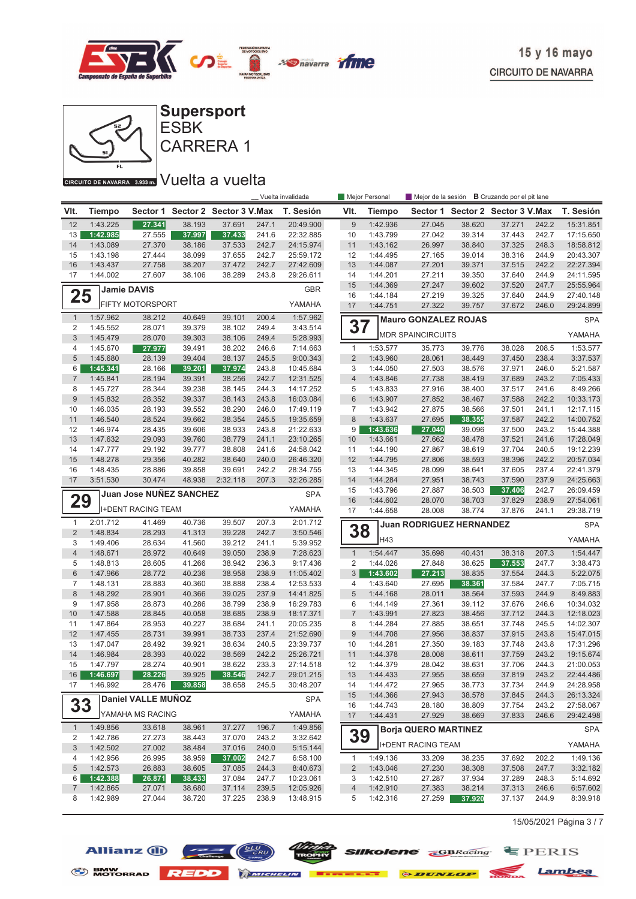



CARRERA 1 ESBK

#### CIRCUITO DE NAVARRA 3.933 m. VUelta a vuelta

|                     |                      | Mejor de la sesión <b>B</b> Cruzando por el pit lane<br>Vuelta invalidada<br>Mejor Personal |                  |                         |                |                        |                     |                      |                                 |                  |                                  |                |                      |
|---------------------|----------------------|---------------------------------------------------------------------------------------------|------------------|-------------------------|----------------|------------------------|---------------------|----------------------|---------------------------------|------------------|----------------------------------|----------------|----------------------|
| VIt.                | <b>Tiempo</b>        | Sector 1                                                                                    |                  | Sector 2 Sector 3 V.Max |                | T. Sesión              | VIt.                | <b>Tiempo</b>        |                                 |                  | Sector 1 Sector 2 Sector 3 V.Max |                | T. Sesión            |
| 12                  | 1:43.225             | 27.341                                                                                      | 38.193           | 37.691                  | 247.1          | 20:49.900              | $\boldsymbol{9}$    | 1:42.936             | 27.045                          | 38.620           | 37.271                           | 242.2          | 15:31.851            |
| 13                  | 1:42.985             | 27.555                                                                                      | 37.997           | 37.433                  | 241.6          | 22:32.885              | 10                  | 1:43.799             | 27.042                          | 39.314           | 37.443                           | 242.7          | 17:15.650            |
| 14                  | 1:43.089             | 27.370                                                                                      | 38.186           | 37.533                  | 242.7          | 24:15.974              | 11                  | 1:43.162             | 26.997                          | 38.840           | 37.325                           | 248.3          | 18:58.812            |
| 15                  | 1:43.198             | 27.444                                                                                      | 38.099           | 37.655                  | 242.7          | 25:59.172              | 12                  | 1:44.495             | 27.165                          | 39.014           | 38.316                           | 244.9          | 20:43.307            |
| 16                  | 1:43.437             | 27.758                                                                                      | 38.207           | 37.472                  | 242.7          | 27:42.609              | 13                  | 1:44.087             | 27.201                          | 39.371           | 37.515                           | 242.2          | 22:27.394            |
| 17                  | 1:44.002             | 27.607                                                                                      | 38.106           | 38.289                  | 243.8          | 29:26.611              | 14                  | 1:44.201             | 27.211                          | 39.350           | 37.640                           | 244.9          | 24:11.595            |
|                     |                      | <b>Jamie DAVIS</b>                                                                          |                  |                         |                | <b>GBR</b>             | 15                  | 1:44.369             | 27.247                          | 39.602           | 37.520                           | 247.7          | 25:55.964            |
| 25                  |                      | <b>FIFTY MOTORSPORT</b>                                                                     |                  |                         |                |                        | 16                  | 1:44.184             | 27.219                          | 39.325           | 37.640                           | 244.9          | 27:40.148            |
|                     |                      |                                                                                             |                  |                         |                | YAMAHA<br>1:57.962     | 17                  | 1:44.751             | 27.322                          | 39.757           | 37.672                           | 246.0          | 29:24.899            |
| $\mathbf{1}$<br>2   | 1:57.962<br>1:45.552 | 38.212<br>28.071                                                                            | 40.649<br>39.379 | 39.101<br>38.102        | 200.4<br>249.4 | 3:43.514               | 37                  |                      | <b>Mauro GONZALEZ ROJAS</b>     |                  |                                  |                | <b>SPA</b>           |
| 3                   | 1:45.479             | 28.070                                                                                      | 39.303           | 38.106                  | 249.4          | 5:28.993               |                     |                      | <b>MDR SPAINCIRCUITS</b>        |                  |                                  |                | YAMAHA               |
| 4                   | 1:45.670             | 27.977                                                                                      | 39.491           | 38.202                  | 246.6          | 7:14.663               | $\mathbf{1}$        | 1:53.577             | 35.773                          | 39.776           | 38.028                           | 208.5          | 1:53.577             |
| 5                   | 1:45.680             | 28.139                                                                                      | 39.404           | 38.137                  | 245.5          | 9:00.343               | $\overline{2}$      | 1:43.960             | 28.061                          | 38.449           | 37.450                           | 238.4          | 3:37.537             |
| 6                   | 1:45.341             | 28.166                                                                                      | 39.201           | 37.974                  | 243.8          | 10:45.684              | 3                   | 1:44.050             | 27.503                          | 38.576           | 37.971                           | 246.0          | 5:21.587             |
| $\overline{7}$      | 1:45.841             | 28.194                                                                                      | 39.391           | 38.256                  | 242.7          | 12:31.525              | $\overline{4}$      | 1:43.846             | 27.738                          | 38.419           | 37.689                           | 243.2          | 7:05.433             |
| 8                   | 1:45.727             | 28.344                                                                                      | 39.238           | 38.145                  | 244.3          | 14:17.252              | 5                   | 1:43.833             | 27.916                          | 38.400           | 37.517                           | 241.6          | 8:49.266             |
| 9                   | 1:45.832             | 28.352                                                                                      | 39.337           | 38.143                  | 243.8          | 16:03.084              | 6                   | 1:43.907             | 27.852                          | 38.467           | 37.588                           | 242.2          | 10:33.173            |
| 10                  | 1:46.035             | 28.193                                                                                      | 39.552           | 38.290                  | 246.0          | 17:49.119              | $\overline{7}$      | 1:43.942             | 27.875                          | 38.566           | 37.501                           | 241.1          | 12:17.115            |
| 11                  | 1:46.540             | 28.524                                                                                      | 39.662           | 38.354                  | 245.5          | 19:35.659              | $\,8\,$             | 1:43.637             | 27.695                          | 38.355           | 37.587                           | 242.2          | 14:00.752            |
| 12                  | 1:46.974             | 28.435                                                                                      | 39.606           | 38.933                  | 243.8          | 21:22.633              | 9                   | 1:43.636             | 27.040                          | 39.096           | 37.500                           | 243.2          | 15:44.388            |
| 13                  | 1:47.632             | 29.093                                                                                      | 39.760           | 38.779                  | 241.1          | 23:10.265              | 10                  | 1:43.661             | 27.662                          | 38.478           | 37.521                           | 241.6          | 17:28.049            |
| 14                  | 1:47.777             | 29.192                                                                                      | 39.777           | 38.808                  | 241.6          | 24:58.042              | 11                  | 1:44.190             | 27.867                          | 38.619           | 37.704                           | 240.5          | 19:12.239            |
| 15                  | 1:48.278             | 29.356                                                                                      | 40.282           | 38.640                  | 240.0          | 26:46.320              | 12                  | 1:44.795             | 27.806                          | 38.593           | 38.396                           | 242.2          | 20:57.034            |
| 16                  | 1:48.435             | 28.886                                                                                      | 39.858           | 39.691                  | 242.2          | 28:34.755              | 13                  | 1:44.345             | 28.099                          | 38.641           | 37.605                           | 237.4          | 22:41.379            |
| 17                  | 3:51.530             | 30.474                                                                                      | 48.938           | 2:32.118                | 207.3          | 32:26.285              | 14                  | 1:44.284             | 27.951                          | 38.743           | 37.590                           | 237.9          | 24:25.663            |
|                     |                      | Juan Jose NUÑEZ SANCHEZ                                                                     |                  |                         |                | <b>SPA</b>             | 15                  | 1:43.796             | 27.887                          | 38.503           | 37.406                           | 242.7          | 26:09.459            |
| 29                  |                      |                                                                                             |                  |                         |                |                        | 16                  | 1:44.602             | 28.070                          | 38.703           | 37.829                           | 238.9          | 27:54.061            |
|                     |                      | <b>I+DENT RACING TEAM</b>                                                                   |                  |                         |                | YAMAHA                 | 17                  | 1:44.658             | 28.008                          | 38.774           | 37.876                           | 241.1          | 29:38.719            |
| $\mathbf{1}$        | 2:01.712             | 41.469                                                                                      | 40.736           | 39.507                  | 207.3          | 2:01.712               |                     |                      | <b>Juan RODRIGUEZ HERNANDEZ</b> |                  |                                  |                | <b>SPA</b>           |
| $\overline{2}$      | 1:48.834             | 28.293                                                                                      | 41.313           | 39.228                  | 242.7          | 3:50.546               | 38                  | H43                  |                                 |                  |                                  |                | YAMAHA               |
| 3                   | 1:49.406             | 28.634                                                                                      | 41.560           | 39.212                  | 241.1          | 5:39.952               |                     |                      |                                 |                  |                                  |                |                      |
| $\overline{4}$      | 1:48.671             | 28.972                                                                                      | 40.649           | 39.050                  | 238.9          | 7:28.623               | $\mathbf{1}$        | 1:54.447             | 35.698                          | 40.431           | 38.318                           | 207.3          | 1:54.447             |
| 5                   | 1:48.813             | 28.605                                                                                      | 41.266           | 38.942                  | 236.3          | 9:17.436               | 2                   | 1:44.026             | 27.848                          | 38.625           | 37.553                           | 247.7          | 3:38.473             |
| 6                   | 1:47.966             | 28.772                                                                                      | 40.236           | 38.958                  | 238.9          | 11:05.402              | 3                   | 1:43.602             | 27.213                          | 38.835           | 37.554<br>37.584                 | 244.3          | 5:22.075             |
| $\overline{7}$<br>8 | 1:48.131             | 28.883<br>28.901                                                                            | 40.360<br>40.366 | 38.888<br>39.025        | 238.4<br>237.9 | 12:53.533              | $\overline{4}$<br>5 | 1:43.640             | 27.695<br>28.011                | 38.361           |                                  | 247.7<br>244.9 | 7:05.715<br>8:49.883 |
| 9                   | 1:48.292             |                                                                                             |                  |                         |                | 14:41.825              | 6                   | 1:44.168             |                                 | 38.564           | 37.593                           |                | 10:34.032            |
| 10                  | 1:47.958<br>1:47.588 | 28.873<br>28.845                                                                            | 40.286<br>40.058 | 38.799<br>38.685        | 238.9<br>238.9 | 16:29.783              | $\overline{7}$      | 1:44.149<br>1:43.991 | 27.361<br>27.823                | 39.112<br>38.456 | 37.676<br>37.712                 | 246.6<br>244.3 | 12:18.023            |
| 11                  | 1:47.864             | 28.953                                                                                      | 40.227           | 38.684                  | 241.1          | 18:17.371<br>20:05.235 | 8                   | 1:44.284             | 27.885                          | 38.651           | 37.748                           | 245.5          | 14:02.307            |
| 12                  | 1:47.455             | 28.731                                                                                      | 39.991           | 38.733                  | 237.4          | 21:52.690              | $\boldsymbol{9}$    | 1:44.708             | 27.956                          | 38.837           | 37.915                           | 243.8          | 15:47.015            |
| 13                  | 1:47.047             | 28.492                                                                                      | 39.921           | 38.634                  | 240.5          | 23:39.737              | 10                  | 1:44.281             | 27.350                          | 39.183           | 37.748                           | 243.8          | 17:31.296            |
| 14                  | 1:46.984             | 28.393                                                                                      | 40.022           | 38.569                  | 242.2          | 25:26.721              | 11                  | 1:44.378             | 28.008                          | 38.611           | 37.759                           | 243.2          | 19:15.674            |
| 15                  | 1:47.797             | 28.274                                                                                      | 40.901           | 38.622                  | 233.3          | 27:14.518              | 12                  | 1:44.379             | 28.042                          | 38.631           | 37.706                           | 244.3          | 21:00.053            |
| 16                  | 1:46.697             | 28.226                                                                                      | 39.925           | 38.546                  | 242.7          | 29:01.215              | 13                  | 1:44.433             | 27.955                          | 38.659           | 37.819                           | 243.2          | 22:44.486            |
| 17                  | 1:46.992             | 28.476                                                                                      | 39.858           | 38.658                  | 245.5          | 30:48.207              | 14                  | 1:44.472             | 27.965                          | 38.773           | 37.734                           | 244.9          | 24:28.958            |
|                     |                      |                                                                                             |                  |                         |                |                        | 15                  | 1:44.366             | 27.943                          | 38.578           | 37.845                           | 244.3          | 26:13.324            |
| 33                  |                      | Daniel VALLE MUNOZ                                                                          |                  |                         |                | <b>SPA</b>             | 16                  | 1:44.743             | 28.180                          | 38.809           | 37.754                           | 243.2          | 27:58.067            |
|                     |                      | YAMAHA MS RACING                                                                            |                  |                         |                | YAMAHA                 | 17                  | 1:44.431             | 27.929                          | 38.669           | 37.833                           | 246.6          | 29:42.498            |
| $\mathbf{1}$        | 1:49.856             | 33.618                                                                                      | 38.961           | 37.277                  | 196.7          | 1:49.856               |                     |                      | <b>Borja QUERO MARTINEZ</b>     |                  |                                  |                | <b>SPA</b>           |
| 2                   | 1:42.786             | 27.273                                                                                      | 38.443           | 37.070                  | 243.2          | 3:32.642               | 39                  |                      | <b>I+DENT RACING TEAM</b>       |                  |                                  |                | YAMAHA               |
| 3                   | 1:42.502             | 27.002                                                                                      | 38.484           | 37.016                  | 240.0          | 5:15.144               |                     |                      |                                 |                  |                                  |                |                      |
| 4                   | 1:42.956             | 26.995                                                                                      | 38.959           | 37.002                  | 242.7          | 6:58.100               | $\mathbf{1}$        | 1:49.136             | 33.209                          | 38.235           | 37.692                           | 202.2          | 1:49.136             |
| 5                   | 1:42.573             | 26.883                                                                                      | 38.605           | 37.085                  | 244.3          | 8:40.673               | $\overline{2}$      | 1:43.046             | 27.230                          | 38.308           | 37.508                           | 247.7          | 3:32.182             |
| 6<br>$\overline{7}$ | 1:42.388             | 26.871                                                                                      | 38.433           | 37.084                  | 247.7          | 10:23.061              | 3                   | 1:42.510             | 27.287                          | 37.934           | 37.289                           | 248.3          | 5:14.692             |
|                     | 1:42.865             | 27.071                                                                                      | 38.680           | 37.114                  | 239.5          | 12:05.926              | 4                   | 1:42.910             | 27.383                          | 38.214           | 37.313                           | 246.6          | 6:57.602             |
| 8                   | 1:42.989             | 27.044                                                                                      | 38.720           | 37.225                  | 238.9          | 13:48.915              | 5                   | 1:42.316             | 27.259                          | 37.920           | 37.137                           | 244.9          | 8:39.918             |

15/05/2021 Página 3 / 7





S BMW REDD MICHELIN **BERKELLE & DUNLOP** MONDA Lambea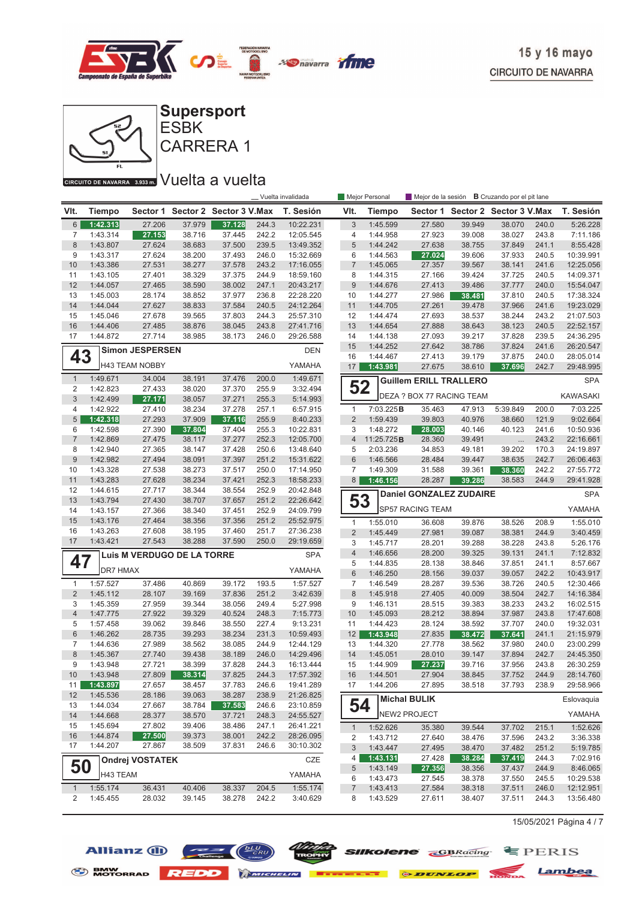



ESBK

# CIRCUITO DE NAVARRA 3.933 m. VUelta a vuelta

|                |                      |                            |                  |                                  | Mejor Personal<br>_ Vuelta invalidada |                        |                  |                      | Mejor de la sesión <b>B</b> Cruzando por el pit lane |                                  |                  |                |                        |
|----------------|----------------------|----------------------------|------------------|----------------------------------|---------------------------------------|------------------------|------------------|----------------------|------------------------------------------------------|----------------------------------|------------------|----------------|------------------------|
| VIt.           | Tiempo               |                            |                  | Sector 1 Sector 2 Sector 3 V.Max |                                       | T. Sesión              | VIt.             | <b>Tiempo</b>        |                                                      | Sector 1 Sector 2 Sector 3 V.Max |                  |                | T. Sesión              |
| 6              | 1:42.313             | 27.206                     | 37.979           | 37.128                           | 244.3                                 | 10:22.231              | 3                | 1:45.599             | 27.580                                               | 39.949                           | 38.070           | 240.0          | 5:26.228               |
| 7              | 1:43.314             | 27.153                     | 38.716           | 37.445                           | 242.2                                 | 12:05.545              | 4                | 1:44.958             | 27.923                                               | 39.008                           | 38.027           | 243.8          | 7:11.186               |
| 8              | 1:43.807             | 27.624                     | 38.683           | 37.500                           | 239.5                                 | 13:49.352              | 5                | 1:44.242             | 27.638                                               | 38.755                           | 37.849           | 241.1          | 8:55.428               |
| 9              | 1:43.317             | 27.624                     | 38.200           | 37.493                           | 246.0                                 | 15:32.669              | 6                | 1:44.563             | 27.024                                               | 39.606                           | 37.933           | 240.5          | 10:39.991              |
| 10             | 1:43.386             | 27.531                     | 38.277           | 37.578                           | 243.2                                 | 17:16.055              | $\overline{7}$   | 1:45.065             | 27.357                                               | 39.567                           | 38.141           | 241.6          | 12:25.056              |
| 11             | 1:43.105             | 27.401                     | 38.329           | 37.375                           | 244.9                                 | 18:59.160              | 8                | 1:44.315             | 27.166                                               | 39.424                           | 37.725           | 240.5          | 14:09.371              |
| 12             | 1:44.057             | 27.465                     | 38.590           | 38.002                           | 247.1                                 | 20:43.217              | $\boldsymbol{9}$ | 1:44.676             | 27.413                                               | 39.486                           | 37.777           | 240.0          | 15:54.047              |
| 13             | 1:45.003             | 28.174                     | 38.852           | 37.977                           | 236.8                                 | 22:28.220              | 10               | 1:44.277             | 27.986                                               | 38.481                           | 37.810           | 240.5          | 17:38.324              |
| 14             | 1:44.044             | 27.627                     | 38.833           | 37.584                           | 240.5                                 | 24:12.264              | 11               | 1:44.705             | 27.261                                               | 39.478                           | 37.966           | 241.6          | 19:23.029              |
| 15<br>16       | 1:45.046             | 27.678<br>27.485           | 39.565           | 37.803                           | 244.3<br>243.8                        | 25:57.310              | 12<br>13         | 1:44.474             | 27.693<br>27.888                                     | 38.537                           | 38.244           | 243.2          | 21:07.503<br>22:52.157 |
| 17             | 1:44.406<br>1:44.872 | 27.714                     | 38.876           | 38.045<br>38.173                 | 246.0                                 | 27:41.716<br>29:26.588 | 14               | 1:44.654<br>1:44.138 | 27.093                                               | 38.643<br>39.217                 | 38.123<br>37.828 | 240.5<br>239.5 | 24:36.295              |
|                |                      |                            | 38.985           |                                  |                                       |                        | 15               | 1:44.252             | 27.642                                               | 38.786                           | 37.824           | 241.6          | 26:20.547              |
| 43             |                      | <b>Simon JESPERSEN</b>     |                  |                                  |                                       | <b>DEN</b>             | 16               | 1:44.467             | 27.413                                               | 39.179                           | 37.875           | 240.0          | 28:05.014              |
|                |                      | <b>H43 TEAM NOBBY</b>      |                  |                                  |                                       | YAMAHA                 | 17               | 1:43.981             | 27.675                                               | 38.610                           | 37.696           | 242.7          | 29:48.995              |
| $\mathbf{1}$   | 1:49.671             | 34.004                     | 38.191           | 37.476                           | 200.0                                 | 1:49.671               |                  |                      | <b>Guillem ERILL TRALLERO</b>                        |                                  |                  |                | <b>SPA</b>             |
| 2              | 1:42.823             | 27.433                     | 38.020           | 37.370                           | 255.9                                 | 3:32.494               | 52               |                      | DEZA ? BOX 77 RACING TEAM                            |                                  |                  |                | <b>KAWASAKI</b>        |
| 3<br>4         | 1:42.499<br>1:42.922 | 27.171<br>27.410           | 38.057<br>38.234 | 37.271<br>37.278                 | 255.3<br>257.1                        | 5:14.993<br>6:57.915   | $\mathbf{1}$     | 7:03.225B            | 35.463                                               | 47.913                           | 5:39.849         | 200.0          | 7:03.225               |
| 5              | 1:42.318             | 27.293                     | 37.909           | 37.116                           | 255.9                                 | 8:40.233               | $\overline{2}$   | 1:59.439             | 39.803                                               | 40.976                           | 38.660           | 121.9          | 9:02.664               |
| 6              | 1:42.598             | 27.390                     | 37.804           | 37.404                           | 255.3                                 | 10:22.831              | 3                | 1:48.272             | 28.003                                               | 40.146                           | 40.123           | 241.6          | 10:50.936              |
| $\overline{7}$ | 1:42.869             | 27.475                     | 38.117           | 37.277                           | 252.3                                 | 12:05.700              | $\overline{4}$   | 11:25.725B           | 28.360                                               | 39.491                           | $\cdots$         | 243.2          | 22:16.661              |
| 8              | 1:42.940             | 27.365                     | 38.147           | 37.428                           | 250.6                                 | 13:48.640              | 5                | 2:03.236             | 34.853                                               | 49.181                           | 39.202           | 170.3          | 24:19.897              |
| 9              | 1:42.982             | 27.494                     | 38.091           | 37.397                           | 251.2                                 | 15:31.622              | $6\phantom{1}$   | 1:46.566             | 28.484                                               | 39.447                           | 38.635           | 242.7          | 26:06.463              |
| 10             | 1:43.328             | 27.538                     | 38.273           | 37.517                           | 250.0                                 | 17:14.950              | $\overline{7}$   | 1:49.309             | 31.588                                               | 39.361                           | 38.360           | 242.2          | 27:55.772              |
| 11             | 1:43.283             | 27.628                     | 38.234           | 37.421                           | 252.3                                 | 18:58.233              | 8 <sup>1</sup>   | 1:46.156             | 28.287                                               | 39.286                           | 38.583           | 244.9          | 29:41.928              |
| 12             | 1:44.615             | 27.717                     | 38.344           | 38.554                           | 252.9                                 | 20:42.848              |                  |                      |                                                      |                                  |                  |                | <b>SPA</b>             |
| 13             | 1:43.794             | 27.430                     | 38.707           | 37.657                           | 251.2                                 | 22:26.642              | 53               |                      | <b>Daniel GONZALEZ ZUDAIRE</b>                       |                                  |                  |                |                        |
| 14             | 1:43.157             | 27.366                     | 38.340           | 37.451                           | 252.9                                 | 24:09.799              |                  |                      | SP57 RACING TEAM                                     |                                  |                  |                | YAMAHA                 |
| 15             | 1:43.176             | 27.464                     | 38.356           | 37.356                           | 251.2                                 | 25:52.975              | $\mathbf{1}$     | 1:55.010             | 36.608                                               | 39.876                           | 38.526           | 208.9          | 1:55.010               |
| 16             | 1:43.263             | 27.608                     | 38.195           | 37.460                           | 251.7                                 | 27:36.238              | $\overline{2}$   | 1:45.449             | 27.981                                               | 39.087                           | 38.381           | 244.9          | 3:40.459               |
| 17             | 1:43.421             | 27.543                     | 38.288           | 37.590                           | 250.0                                 | 29:19.659              | 3                | 1:45.717             | 28.201                                               | 39.288                           | 38.228           | 243.8          | 5:26.176               |
|                |                      | Luis M VERDUGO DE LA TORRE |                  |                                  |                                       | <b>SPA</b>             | $\overline{4}$   | 1:46.656             | 28.200                                               | 39.325                           | 39.131           | 241.1          | 7:12.832               |
| 47             |                      |                            |                  |                                  |                                       |                        | 5                | 1:44.835             | 28.138                                               | 38.846                           | 37.851           | 241.1          | 8:57.667               |
|                | DR7 HMAX             |                            |                  |                                  |                                       | YAMAHA                 | $\,6$            | 1:46.250             | 28.156                                               | 39.037                           | 39.057           | 242.2          | 10:43.917              |
| $\mathbf{1}$   | 1:57.527             | 37.486                     | 40.869           | 39.172                           | 193.5                                 | 1:57.527               | $\overline{7}$   | 1:46.549             | 28.287                                               | 39.536                           | 38.726           | 240.5          | 12:30.466              |
| $\overline{2}$ | 1:45.112             | 28.107                     | 39.169           | 37.836                           | 251.2                                 | 3:42.639               | $\bf 8$          | 1:45.918             | 27.405                                               | 40.009                           | 38.504           | 242.7          | 14:16.384              |
| 3              | 1:45.359             | 27.959                     | 39.344           | 38.056                           | 249.4                                 | 5:27.998               | 9                | 1:46.131             | 28.515                                               | 39.383                           | 38.233           | 243.2          | 16:02.515              |
| $\overline{4}$ | 1:47.775             | 27.922                     | 39.329           | 40.524                           | 248.3                                 | 7:15.773               | 10               | 1:45.093             | 28.212                                               | 38.894                           | 37.987           | 243.8          | 17:47.608              |
| 5              | 1:57.458             | 39.062                     | 39.846           | 38.550                           | 227.4                                 | 9:13.231               | 11               | 1:44.423             | 28.124                                               | 38.592                           | 37.707           | 240.0          | 19:32.031              |
| 6              | 1:46.262             | 28.735                     | 39.293           | 38.234                           | 231.3                                 | 10:59.493              | 12               | 1:43.948             | 27.835                                               | 38.472                           | 37.641           | 241.1          | 21:15.979              |
| 7<br>8         | 1:44.636<br>1:45.367 | 27.989                     | 38.562<br>39.438 | 38.085<br>38.189                 | 244.9<br>246.0                        | 12:44.129<br>14:29.496 | 13<br>14         | 1:44.320<br>1:45.051 | 27.778<br>28.010                                     | 38.562<br>39.147                 | 37.980<br>37.894 | 240.0<br>242.7 | 23:00.299<br>24:45.350 |
| 9              | 1:43.948             | 27.740<br>27.721           | 38.399           | 37.828                           | 244.3                                 | 16:13.444              | 15               | 1:44.909             | 27.237                                               | 39.716                           | 37.956           | 243.8          | 26:30.259              |
| 10             | 1:43.948             | 27.809                     | 38.314           | 37.825                           | 244.3                                 | 17:57.392              | 16               | 1:44.501             | 27.904                                               | 38.845                           | 37.752           | 244.9          | 28:14.760              |
| 11             | 1:43.897             | 27.657                     | 38.457           | 37.783                           | 246.6                                 | 19:41.289              | 17               | 1:44.206             | 27.895                                               | 38.518                           | 37.793           | 238.9          | 29:58.966              |
| 12             | 1:45.536             | 28.186                     | 39.063           | 38.287                           | 238.9                                 | 21:26.825              |                  |                      |                                                      |                                  |                  |                |                        |
| 13             | 1:44.034             | 27.667                     | 38.784           | 37.583                           | 246.6                                 | 23:10.859              |                  | 54                   | <b>Michal BULIK</b>                                  |                                  |                  |                | Eslovaquia             |
| 14             | 1:44.668             | 28.377                     | 38.570           | 37.721                           | 248.3                                 | 24:55.527              |                  |                      | NEW2 PROJECT                                         |                                  |                  |                | YAMAHA                 |
| 15             | 1:45.694             | 27.802                     | 39.406           | 38.486                           | 247.1                                 | 26:41.221              | $\mathbf{1}$     | 1:52.626             | 35.380                                               | 39.544                           | 37.702           | 215.1          | 1:52.626               |
| 16             | 1:44.874             | 27.500                     | 39.373           | 38.001                           | 242.2                                 | 28:26.095              | 2                | 1:43.712             | 27.640                                               | 38.476                           | 37.596           | 243.2          | 3:36.338               |
| 17             | 1:44.207             | 27.867                     | 38.509           | 37.831                           | 246.6                                 | 30:10.302              | $\sqrt{3}$       | 1:43.447             | 27.495                                               | 38.470                           | 37.482           | 251.2          | 5:19.785               |
|                |                      | <b>Ondrej VOSTATEK</b>     |                  |                                  |                                       | CZE                    | 4 <sup>1</sup>   | 1:43.131             | 27.428                                               | 38.284                           | 37.419           | 244.3          | 7:02.916               |
| 50             |                      |                            |                  |                                  |                                       |                        | 5                | 1:43.149             | 27.356                                               | 38.356                           | 37.437           | 244.9          | 8:46.065               |
|                | H43 TEAM             |                            |                  |                                  |                                       | YAMAHA                 | 6                | 1:43.473             | 27.545                                               | 38.378                           | 37.550           | 245.5          | 10:29.538              |
| $\mathbf{1}$   | 1:55.174             | 36.431                     | 40.406           | 38.337                           | 204.5                                 | 1:55.174               | $\overline{7}$   | 1:43.413             | 27.584                                               | 38.318                           | 37.511           | 246.0          | 12:12.951              |
| 2              | 1:45.455             | 28.032                     | 39.145           | 38.278                           | 242.2                                 | 3:40.629               | 8                | 1:43.529             | 27.611                                               | 38.407                           | 37.511           | 244.3          | 13:56.480              |

15/05/2021 Página 4 / 7





**COLOR SIIKOIENE GBRacing** EPERIS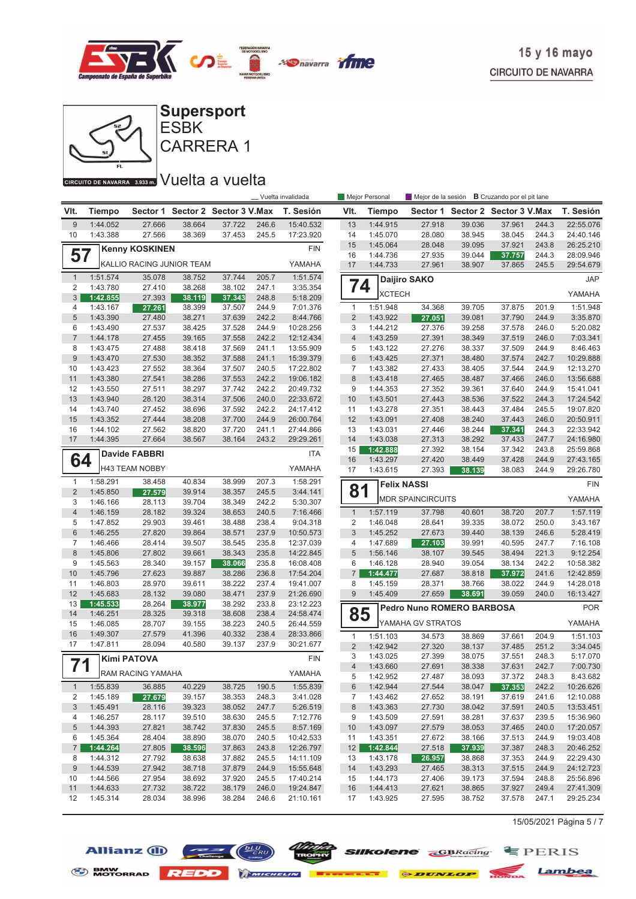



#### CIRCUITO DE NAVARRA 3.933 m. VUelta a vuelta

|                                |                      | Vuelta invalidada         |                  |                                  |                |                        |                         | Mejor Personal       |                           |                  | Mejor de la sesión <b>B</b> Cruzando por el pit lane |                |                      |  |
|--------------------------------|----------------------|---------------------------|------------------|----------------------------------|----------------|------------------------|-------------------------|----------------------|---------------------------|------------------|------------------------------------------------------|----------------|----------------------|--|
| VIt.                           | Tiempo               |                           |                  | Sector 1 Sector 2 Sector 3 V.Max |                | T. Sesión              | VIt.                    | <b>Tiempo</b>        |                           |                  | Sector 1 Sector 2 Sector 3 V.Max                     |                | T. Sesión            |  |
| 9                              | 1:44.052             | 27.666                    | 38.664           | 37.722                           | 246.6          | 15:40.532              | 13                      | 1:44.915             | 27.918                    | 39.036           | 37.961                                               | 244.3          | 22:55.076            |  |
| 10                             | 1:43.388             | 27.566                    | 38.369           | 37.453                           | 245.5          | 17:23.920              | 14                      | 1:45.070             | 28.080                    | 38.945           | 38.045                                               | 244.3          | 24:40.146            |  |
|                                |                      | <b>Kenny KOSKINEN</b>     |                  |                                  |                | <b>FIN</b>             | 15                      | 1:45.064             | 28.048                    | 39.095           | 37.921                                               | 243.8          | 26:25.210            |  |
| 57                             |                      |                           |                  |                                  |                |                        | 16                      | 1:44.736             | 27.935                    | 39.044           | 37.757                                               | 244.3          | 28:09.946            |  |
|                                |                      | KALLIO RACING JUNIOR TEAM |                  |                                  |                | YAMAHA                 | 17                      | 1:44.733             | 27.961                    | 38.907           | 37.865                                               | 245.5          | 29:54.679            |  |
| $\mathbf{1}$                   | 1:51.574             | 35.078                    | 38.752           | 37.744                           | 205.7          | 1:51.574               | 74                      |                      | Daijiro SAKO              |                  |                                                      |                | <b>JAP</b>           |  |
| 2                              | 1:43.780             | 27.410                    | 38.268           | 38.102                           | 247.1          | 3:35.354               |                         | <b>XCTECH</b>        |                           |                  |                                                      |                | YAMAHA               |  |
| 3<br>4                         | 1:42.855<br>1:43.167 | 27.393<br>27.261          | 38.119<br>38.399 | 37.343<br>37.507                 | 248.8<br>244.9 | 5:18.209<br>7:01.376   | $\mathbf{1}$            | 1:51.948             | 34.368                    | 39.705           | 37.875                                               | 201.9          | 1:51.948             |  |
| 5                              | 1:43.390             | 27.480                    | 38.271           | 37.639                           | 242.2          | 8:44.766               | $\overline{2}$          | 1:43.922             | 27.051                    | 39.081           | 37.790                                               | 244.9          | 3:35.870             |  |
| 6                              | 1:43.490             | 27.537                    | 38.425           | 37.528                           | 244.9          | 10:28.256              | 3                       | 1:44.212             | 27.376                    | 39.258           | 37.578                                               | 246.0          | 5:20.082             |  |
| $\overline{7}$                 | 1:44.178             | 27.455                    | 39.165           | 37.558                           | 242.2          | 12:12.434              | $\overline{4}$          | 1:43.259             | 27.391                    | 38.349           | 37.519                                               | 246.0          | 7:03.341             |  |
| 8                              | 1:43.475             | 27.488                    | 38.418           | 37.569                           | 241.1          | 13:55.909              | 5                       | 1:43.122             | 27.276                    | 38.337           | 37.509                                               | 244.9          | 8:46.463             |  |
| 9                              | 1:43.470             | 27.530                    | 38.352           | 37.588                           | 241.1          | 15:39.379              | 6                       | 1:43.425             | 27.371                    | 38.480           | 37.574                                               | 242.7          | 10:29.888            |  |
| 10                             | 1:43.423             | 27.552                    | 38.364           | 37.507                           | 240.5          | 17:22.802              | $\overline{7}$          | 1:43.382             | 27.433                    | 38.405           | 37.544                                               | 244.9          | 12:13.270            |  |
| 11                             | 1:43.380             | 27.541                    | 38.286           | 37.553                           | 242.2          | 19:06.182              | 8                       | 1:43.418             | 27.465                    | 38.487           | 37.466                                               | 246.0          | 13:56.688            |  |
| 12                             | 1:43.550             | 27.511                    | 38.297           | 37.742                           | 242.2          | 20:49.732              | 9                       | 1:44.353             | 27.352                    | 39.361           | 37.640                                               | 244.9          | 15:41.041            |  |
| 13                             | 1:43.940             | 28.120                    | 38.314           | 37.506                           | 240.0          | 22:33.672              | 10                      | 1:43.501             | 27.443                    | 38.536           | 37.522                                               | 244.3          | 17:24.542            |  |
| 14                             | 1:43.740             | 27.452                    | 38.696           | 37.592                           | 242.2          | 24:17.412              | 11                      | 1:43.278             | 27.351                    | 38.443           | 37.484                                               | 245.5          | 19:07.820            |  |
| 15                             | 1:43.352             | 27.444                    | 38.208           | 37.700                           | 244.9          | 26:00.764              | 12                      | 1:43.091             | 27.408                    | 38.240           | 37.443                                               | 246.0          | 20:50.911            |  |
| 16                             | 1:44.102             | 27.562                    | 38.820           | 37.720                           | 241.1          | 27:44.866              | 13                      | 1:43.031             | 27.446                    | 38.244           | 37.341                                               | 244.3          | 22:33.942            |  |
| 17                             | 1:44.395             | 27.664                    | 38.567           | 38.164                           | 243.2          | 29:29.261              | 14                      | 1:43.038             | 27.313                    | 38.292           | 37.433                                               | 247.7          | 24:16.980            |  |
|                                |                      | <b>Davide FABBRI</b>      |                  |                                  |                | <b>ITA</b>             | 15                      | 1:42.888             | 27.392                    | 38.154           | 37.342                                               | 243.8          | 25:59.868            |  |
| 64                             |                      | <b>H43 TEAM NOBBY</b>     |                  |                                  |                | YAMAHA                 | 16                      | 1:43.297             | 27.420                    | 38.449           | 37.428                                               | 244.9          | 27:43.165            |  |
|                                |                      |                           |                  |                                  |                | 1:58.291               | 17                      | 1:43.615             | 27.393                    | 38.139           | 38.083                                               | 244.9          | 29:26.780            |  |
| $\mathbf{1}$<br>$\overline{2}$ | 1:58.291<br>1:45.850 | 38.458<br>27.579          | 40.834<br>39.914 | 38.999<br>38.357                 | 207.3<br>245.5 | 3:44.141               | 81                      |                      | <b>Felix NASSI</b>        |                  |                                                      |                | <b>FIN</b>           |  |
| 3                              | 1:46.166             | 28.113                    | 39.704           | 38.349                           | 242.2          | 5:30.307               |                         |                      | <b>MDR SPAINCIRCUITS</b>  |                  |                                                      |                | YAMAHA               |  |
| $\overline{4}$                 | 1:46.159             | 28.182                    | 39.324           | 38.653                           | 240.5          | 7:16.466               | $\mathbf{1}$            | 1:57.119             | 37.798                    | 40.601           | 38.720                                               | 207.7          | 1:57.119             |  |
| 5                              | 1:47.852             | 29.903                    | 39.461           | 38.488                           | 238.4          | 9:04.318               | $\overline{\mathbf{c}}$ | 1:46.048             | 28.641                    | 39.335           | 38.072                                               | 250.0          | 3:43.167             |  |
| $6\phantom{1}$                 | 1:46.255             | 27.820                    | 39.864           | 38.571                           | 237.9          | 10:50.573              | 3                       | 1:45.252             | 27.673                    | 39.440           | 38.139                                               | 246.6          | 5:28.419             |  |
| 7                              | 1:46.466             | 28.414                    | 39.507           | 38.545                           | 235.8          | 12:37.039              | 4                       | 1:47.689             | 27.103                    | 39.991           | 40.595                                               | 247.7          | 7:16.108             |  |
| 8                              | 1:45.806             | 27.802                    | 39.661           | 38.343                           | 235.8          | 14:22.845              | 5                       | 1:56.146             | 38.107                    | 39.545           | 38.494                                               | 221.3          | 9:12.254             |  |
| 9                              | 1:45.563             | 28.340                    | 39.157           | 38.066                           | 235.8          | 16:08.408              | 6                       | 1:46.128             | 28.940                    | 39.054           | 38.134                                               | 242.2          | 10:58.382            |  |
| 10                             | 1:45.796             | 27.623                    | 39.887           | 38.286                           | 236.8          | 17:54.204              | $\overline{7}$          | 1:44.477             | 27.687                    | 38.818           | 37.972                                               | 241.6          | 12:42.859            |  |
| 11                             | 1:46.803             | 28.970                    | 39.611           | 38.222                           | 237.4          | 19:41.007              | 8                       | 1:45.159             | 28.371                    | 38.766           | 38.022                                               | 244.9          | 14:28.018            |  |
| 12                             | 1:45.683             | 28.132                    | 39.080           | 38.471                           | 237.9          | 21:26.690              | 9                       | 1:45.409             | 27.659                    | 38.691           | 39.059                                               | 240.0          | 16:13.427            |  |
| 13                             | 1:45.533             | 28.264                    | 38.977           | 38.292                           | 233.8          | 23:12.223              |                         |                      | Pedro Nuno ROMERO BARBOSA |                  |                                                      |                | <b>POR</b>           |  |
| 14                             | 1:46.251             | 28.325                    | 39.318           | 38.608                           | 238.4          | 24:58.474              | 85                      |                      |                           |                  |                                                      |                |                      |  |
| 15                             | 1:46.085             | 28.707                    | 39.155           | 38.223                           | 240.5          | 26:44.559              |                         |                      | YAMAHA GV STRATOS         |                  |                                                      |                | YAMAHA               |  |
| 16<br>17                       | 1:49.307<br>1:47.811 | 27.579<br>28.094          | 41.396<br>40.580 | 40.332<br>39.137                 | 238.4<br>237.9 | 28:33.866<br>30:21.677 | $\mathbf{1}$            | 1:51.103             | 34.573                    | 38.869           | 37.661                                               | 204.9          | 1:51.103             |  |
|                                |                      |                           |                  |                                  |                |                        | $\overline{2}$          | 1:42.942             | 27.320                    | 38.137           | 37.485                                               | 251.2          | 3:34.045             |  |
| 71                             |                      | <b>Kimi PATOVA</b>        |                  |                                  |                | <b>FIN</b>             | 3<br>$\overline{4}$     | 1:43.025             | 27.399                    | 38.075           | 37.551                                               | 248.3          | 5:17.070             |  |
|                                |                      | RAM RACING YAMAHA         |                  |                                  |                | YAMAHA                 | 5                       | 1:43.660<br>1:42.952 | 27.691<br>27.487          | 38.338<br>38.093 | 37.631<br>37.372                                     | 242.7<br>248.3 | 7:00.730<br>8:43.682 |  |
| $\mathbf{1}$                   | 1:55.839             | 36.885                    | 40.229           | 38.725                           | 190.5          | 1:55.839               | 6                       | 1:42.944             | 27.544                    | 38.047           | 37.353                                               | 242.2          | 10:26.626            |  |
| 2                              | 1:45.189             | 27.679                    | 39.157           | 38.353                           | 248.3          | 3:41.028               | 7                       | 1:43.462             | 27.652                    | 38.191           | 37.619                                               | 241.6          | 12:10.088            |  |
| 3                              | 1:45.491             | 28.116                    | 39.323           | 38.052                           | 247.7          | 5:26.519               | 8                       | 1:43.363             | 27.730                    | 38.042           | 37.591                                               | 240.5          | 13:53.451            |  |
| 4                              | 1:46.257             | 28.117                    | 39.510           | 38.630                           | 245.5          | 7:12.776               | 9                       | 1:43.509             | 27.591                    | 38.281           | 37.637                                               | 239.5          | 15:36.960            |  |
| 5                              | 1:44.393             | 27.821                    | 38.742           | 37.830                           | 245.5          | 8:57.169               | 10                      | 1:43.097             | 27.579                    | 38.053           | 37.465                                               | 240.0          | 17:20.057            |  |
| 6                              | 1:45.364             | 28.404                    | 38.890           | 38.070                           | 240.5          | 10:42.533              | 11                      | 1:43.351             | 27.672                    | 38.166           | 37.513                                               | 244.9          | 19:03.408            |  |
| $\overline{7}$                 | 1:44.264             | 27.805                    | 38.596           | 37.863                           | 243.8          | 12:26.797              | 12 <sup>2</sup>         | 1:42.844             | 27.518                    | 37.939           | 37.387                                               | 248.3          | 20:46.252            |  |
| 8                              | 1:44.312             | 27.792                    | 38.638           | 37.882                           | 245.5          | 14:11.109              | 13                      | 1:43.178             | 26.957                    | 38.868           | 37.353                                               | 244.9          | 22:29.430            |  |
| 9                              | 1:44.539             | 27.942                    | 38.718           | 37.879                           | 244.9          | 15:55.648              | 14                      | 1:43.293             | 27.465                    | 38.313           | 37.515                                               | 244.9          | 24:12.723            |  |
| 10                             | 1:44.566             | 27.954                    | 38.692           | 37.920                           | 245.5          | 17:40.214              | 15                      | 1:44.173             | 27.406                    | 39.173           | 37.594                                               | 248.8          | 25:56.896            |  |
| 11                             | 1:44.633             | 27.732                    | 38.722           | 38.179                           | 246.0          | 19:24.847              | 16                      | 1:44.413             | 27.621                    | 38.865           | 37.927                                               | 249.4          | 27:41.309            |  |
| 12                             | 1:45.314             | 28.034                    | 38.996           | 38.284                           | 246.6          | 21:10.161              | 17                      | 1:43.925             | 27.595                    | 38.752           | 37.578                                               | 247.1          | 29:25.234            |  |

15/05/2021 Página 5 / 7





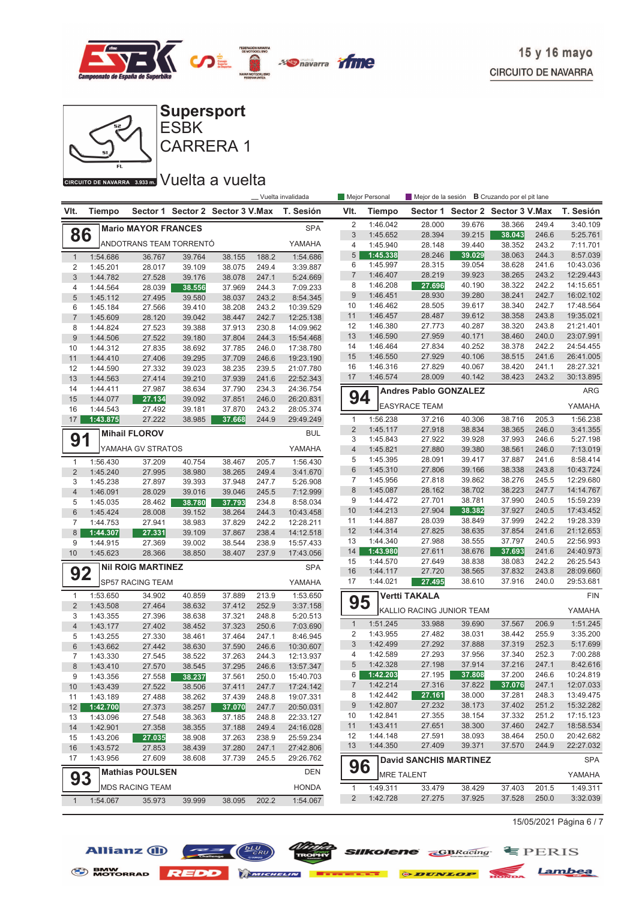



#### CIRCUITO DE NAVARRA 3.933 m. VUelta a vuelta

Allianz  $\bigoplus$   $\bigoplus$   $\bigoplus$   $\bigoplus$ 

|                | _ Vuelta invalidada  |                            |                  |                                  |                |                        | Mejor Personal   |                      |                               |                  | Mejor de la sesión <b>B</b> Cruzando por el pit lane |                |                        |
|----------------|----------------------|----------------------------|------------------|----------------------------------|----------------|------------------------|------------------|----------------------|-------------------------------|------------------|------------------------------------------------------|----------------|------------------------|
| VIt.           | <b>Tiempo</b>        |                            |                  | Sector 1 Sector 2 Sector 3 V.Max |                | T. Sesión              | VIt.             | <b>Tiempo</b>        |                               |                  | Sector 1 Sector 2 Sector 3 V.Max                     |                | T. Sesión              |
|                |                      | <b>Mario MAYOR FRANCES</b> |                  |                                  |                | <b>SPA</b>             | $\overline{2}$   | 1:46.042             | 28.000                        | 39.676           | 38.366                                               | 249.4          | 3:40.109               |
| 86             |                      |                            |                  |                                  |                |                        | $\sqrt{3}$       | 1:45.652             | 28.394                        | 39.215           | 38.043                                               | 246.6          | 5:25.761               |
|                |                      | ANDOTRANS TEAM TORRENTÓ    |                  |                                  |                | YAMAHA                 | $\overline{4}$   | 1:45.940             | 28.148                        | 39.440           | 38.352                                               | 243.2          | 7:11.701               |
| $\mathbf{1}$   | 1:54.686             | 36.767                     | 39.764           | 38.155                           | 188.2          | 1:54.686               | 5<br>6           | 1:45.338<br>1:45.997 | 28.246<br>28.315              | 39.029<br>39.054 | 38.063<br>38.628                                     | 244.3<br>241.6 | 8:57.039<br>10:43.036  |
| 2<br>3         | 1:45.201             | 28.017                     | 39.109           | 38.075                           | 249.4          | 3:39.887               | $\overline{7}$   | 1:46.407             | 28.219                        | 39.923           | 38.265                                               | 243.2          | 12:29.443              |
| 4              | 1:44.782<br>1:44.564 | 27.528<br>28.039           | 39.176<br>38.556 | 38.078<br>37.969                 | 247.1<br>244.3 | 5:24.669<br>7:09.233   | 8                | 1:46.208             | 27.696                        | 40.190           | 38.322                                               | 242.2          | 14:15.651              |
| 5              | 1:45.112             | 27.495                     | 39.580           | 38.037                           | 243.2          | 8:54.345               | $\boldsymbol{9}$ | 1:46.451             | 28.930                        | 39.280           | 38.241                                               | 242.7          | 16:02.102              |
| 6              | 1:45.184             | 27.566                     | 39.410           | 38.208                           | 243.2          | 10:39.529              | 10               | 1:46.462             | 28.505                        | 39.617           | 38.340                                               | 242.7          | 17:48.564              |
| $\overline{7}$ | 1:45.609             | 28.120                     | 39.042           | 38.447                           | 242.7          | 12:25.138              | 11               | 1:46.457             | 28.487                        | 39.612           | 38.358                                               | 243.8          | 19:35.021              |
| 8              | 1:44.824             | 27.523                     | 39.388           | 37.913                           | 230.8          | 14:09.962              | 12               | 1:46.380             | 27.773                        | 40.287           | 38.320                                               | 243.8          | 21:21.401              |
| 9              | 1:44.506             | 27.522                     | 39.180           | 37.804                           | 244.3          | 15:54.468              | 13               | 1:46.590             | 27.959                        | 40.171           | 38.460                                               | 240.0          | 23:07.991              |
| 10             | 1:44.312             | 27.835                     | 38.692           | 37.785                           | 246.0          | 17:38.780              | 14               | 1:46.464             | 27.834                        | 40.252           | 38.378                                               | 242.2          | 24:54.455              |
| 11             | 1:44.410             | 27.406                     | 39.295           | 37.709                           | 246.6          | 19:23.190              | 15               | 1:46.550             | 27.929                        | 40.106           | 38.515                                               | 241.6          | 26:41.005              |
| 12             | 1:44.590             | 27.332                     | 39.023           | 38.235                           | 239.5          | 21:07.780              | 16               | 1:46.316             | 27.829                        | 40.067           | 38.420                                               | 241.1          | 28:27.321              |
| 13             | 1:44.563             | 27.414                     | 39.210           | 37.939                           | 241.6          | 22:52.343              | 17               | 1:46.574             | 28.009                        | 40.142           | 38.423                                               | 243.2          | 30:13.895              |
| 14             | 1:44.411             | 27.987                     | 38.634           | 37.790                           | 234.3          | 24:36.754              |                  |                      | <b>Andres Pablo GONZALEZ</b>  |                  |                                                      |                | ARG                    |
| 15<br>16       | 1:44.077<br>1:44.543 | 27.134<br>27.492           | 39.092<br>39.181 | 37.851<br>37.870                 | 246.0<br>243.2 | 26:20.831<br>28:05.374 | 94               |                      | <b>EASYRACE TEAM</b>          |                  |                                                      |                | YAMAHA                 |
| 17             | 1:43.875             | 27.222                     | 38.985           | 37.668                           | 244.9          | 29:49.249              | $\mathbf{1}$     | 1:56.238             | 37.216                        | 40.306           | 38.716                                               | 205.3          | 1:56.238               |
|                |                      | <b>Mihail FLOROV</b>       |                  |                                  |                |                        | $\overline{2}$   | 1:45.117             | 27.918                        | 38.834           | 38.365                                               | 246.0          | 3:41.355               |
| 91             |                      |                            |                  |                                  |                | <b>BUL</b>             | 3                | 1:45.843             | 27.922                        | 39.928           | 37.993                                               | 246.6          | 5:27.198               |
|                |                      | YAMAHA GV STRATOS          |                  |                                  |                | YAMAHA                 | $\overline{4}$   | 1:45.821             | 27.880                        | 39.380           | 38.561                                               | 246.0          | 7:13.019               |
| $\mathbf{1}$   | 1:56.430             | 37.209                     | 40.754           | 38.467                           | 205.7          | 1:56.430               | 5                | 1:45.395             | 28.091                        | 39.417           | 37.887                                               | 241.6          | 8:58.414               |
| $\overline{2}$ | 1:45.240             | 27.995                     | 38.980           | 38.265                           | 249.4          | 3:41.670               | $6\phantom{1}$   | 1:45.310             | 27.806                        | 39.166           | 38.338                                               | 243.8          | 10:43.724              |
| 3              | 1:45.238             | 27.897                     | 39.393           | 37.948                           | 247.7          | 5:26.908               | $\overline{7}$   | 1:45.956             | 27.818                        | 39.862           | 38.276                                               | 245.5          | 12:29.680              |
| $\overline{4}$ | 1:46.091             | 28.029                     | 39.016           | 39.046                           | 245.5          | 7:12.999               | 8                | 1:45.087             | 28.162                        | 38.702           | 38.223                                               | 247.7          | 14:14.767              |
| 5              | 1:45.035             | 28.462                     | 38.780           | 37.793                           | 234.8          | 8:58.034               | 9                | 1:44.472             | 27.701                        | 38.781           | 37.990                                               | 240.5          | 15:59.239              |
| $6\phantom{.}$ | 1:45.424             | 28.008                     | 39.152           | 38.264                           | 244.3          | 10:43.458              | 10               | 1:44.213             | 27.904                        | 38.382           | 37.927                                               | 240.5          | 17:43.452              |
| $\overline{7}$ | 1:44.753             | 27.941                     | 38.983           | 37.829                           | 242.2          | 12:28.211              | 11<br>12         | 1:44.887<br>1:44.314 | 28.039<br>27.825              | 38.849<br>38.635 | 37.999<br>37.854                                     | 242.2<br>241.6 | 19:28.339<br>21:12.653 |
| 8              | 1:44.307             | 27.331                     | 39.109           | 37.867                           | 238.4          | 14:12.518              | 13               | 1:44.340             | 27.988                        | 38.555           | 37.797                                               | 240.5          | 22:56.993              |
| 9<br>10        | 1:44.915             | 27.369                     | 39.002           | 38.544                           | 238.9          | 15:57.433              | 14               | 1:43.980             | 27.611                        | 38.676           | 37.693                                               | 241.6          | 24:40.973              |
|                | 1:45.623             | 28.366                     | 38.850           | 38.407                           | 237.9          | 17:43.056              | 15               | 1:44.570             | 27.649                        | 38.838           | 38.083                                               | 242.2          | 26:25.543              |
| 92             |                      | <b>NII ROIG MARTINEZ</b>   |                  |                                  |                | <b>SPA</b>             | 16               | 1:44.117             | 27.720                        | 38.565           | 37.832                                               | 243.8          | 28:09.660              |
|                |                      | SP57 RACING TEAM           |                  |                                  |                | YAMAHA                 | 17               | 1:44.021             | 27.495                        | 38.610           | 37.916                                               | 240.0          | 29:53.681              |
| 1              | 1:53.650             | 34.902                     | 40.859           | 37.889                           | 213.9          | 1:53.650               |                  |                      | <b>Vertti TAKALA</b>          |                  |                                                      |                | FIN                    |
| $\overline{2}$ | 1:43.508             | 27.464                     | 38.632           | 37.412                           | 252.9          | 3:37.158               | 95               |                      | KALLIO RACING JUNIOR TEAM     |                  |                                                      |                | YAMAHA                 |
| 3              | 1:43.355             | 27.396                     | 38.638           | 37.321                           | 248.8          | 5:20.513               | $\mathbf{1}$     | 1:51.245             | 33.988                        | 39.690           | 37.567                                               | 206.9          | 1:51.245               |
| $\overline{4}$ | 1:43.177<br>1:43.255 | 27.402                     | 38.452           | 37.323                           | 250.6          | 7:03.690               | $\overline{2}$   | 1:43.955             | 27.482                        | 38.031           | 38.442                                               | 255.9          | 3:35.200               |
| 5<br>6         | 1:43.662             | 27.330<br>27.442           | 38.461<br>38.630 | 37.464<br>37.590                 | 247.1<br>246.6 | 8:46.945<br>10:30.607  | $\sqrt{3}$       | 1:42.499             | 27.292                        | 37.888           | 37.319                                               | 252.3          | 5:17.699               |
| $\overline{7}$ | 1:43.330             | 27.545                     | 38.522           | 37.263                           | 244.3          | 12:13.937              | $\overline{4}$   | 1:42.589             | 27.293                        | 37.956           | 37.340                                               | 252.3          | 7:00.288               |
| 8              | 1:43.410             | 27.570                     | 38.545           | 37.295                           | 246.6          | 13:57.347              | 5                | 1:42.328             | 27.198                        | 37.914           | 37.216                                               | 247.1          | 8:42.616               |
| 9              | 1:43.356             | 27.558                     | 38.237           | 37.561                           | 250.0          | 15:40.703              | 6                | 1:42.203             | 27.195                        | 37.808           | 37.200                                               | 246.6          | 10:24.819              |
| 10             | 1:43.439             | 27.522                     | 38.506           | 37.411                           | 247.7          | 17:24.142              | 7                | 1:42.214             | 27.316                        | 37.822           | 37.076                                               | 247.1          | 12:07.033              |
| 11             | 1:43.189             | 27.488                     | 38.262           | 37.439                           | 248.8          | 19:07.331              | 8                | 1:42.442             | 27.161                        | 38.000           | 37.281                                               | 248.3          | 13:49.475              |
| 12             | 1:42.700             | 27.373                     | 38.257           | 37.070                           | 247.7          | 20:50.031              | 9                | 1:42.807             | 27.232                        | 38.173           | 37.402                                               | 251.2          | 15:32.282              |
| 13             | 1:43.096             | 27.548                     | 38.363           | 37.185                           | 248.8          | 22:33.127              | 10               | 1:42.841             | 27.355                        | 38.154           | 37.332                                               | 251.2          | 17:15.123              |
| 14             | 1:42.901             | 27.358                     | 38.355           | 37.188                           | 249.4          | 24:16.028              | 11               | 1:43.411             | 27.651                        | 38.300           | 37.460                                               | 242.7          | 18:58.534              |
| 15             | 1:43.206             | 27.035                     | 38.908           | 37.263                           | 238.9          | 25:59.234              | 12               | 1:44.148             | 27.591                        | 38.093           | 38.464                                               | 250.0          | 20:42.682              |
| 16             | 1:43.572             | 27.853                     | 38.439           | 37.280                           | 247.1          | 27:42.806              | 13               | 1:44.350             | 27.409                        | 39.371           | 37.570                                               | 244.9          | 22:27.032              |
| 17             | 1:43.956             | 27.609                     | 38.608           | 37.739                           | 245.5          | 29:26.762              |                  |                      | <b>David SANCHIS MARTINEZ</b> |                  |                                                      |                | <b>SPA</b>             |
| 93             |                      | <b>Mathias POULSEN</b>     |                  |                                  |                | <b>DEN</b>             | 96               | <b>MRE TALENT</b>    |                               |                  |                                                      |                | YAMAHA                 |
|                |                      | <b>MDS RACING TEAM</b>     |                  |                                  |                | <b>HONDA</b>           | $\mathbf{1}$     | 1:49.311             | 33.479                        | 38.429           | 37.403                                               | 201.5          | 1:49.311               |
| $\mathbf{1}$   | 1:54.067             | 35.973                     | 39.999           | 38.095                           | 202.2          | 1:54.067               | $\overline{2}$   | 1:42.728             | 27.275                        | 37.925           | 37.528                                               | 250.0          | 3:32.039               |

S BMW REDD MICHELIN **BERKELLE & DUNLOP** MONDA Lambea

15/05/2021 Página 6 / 7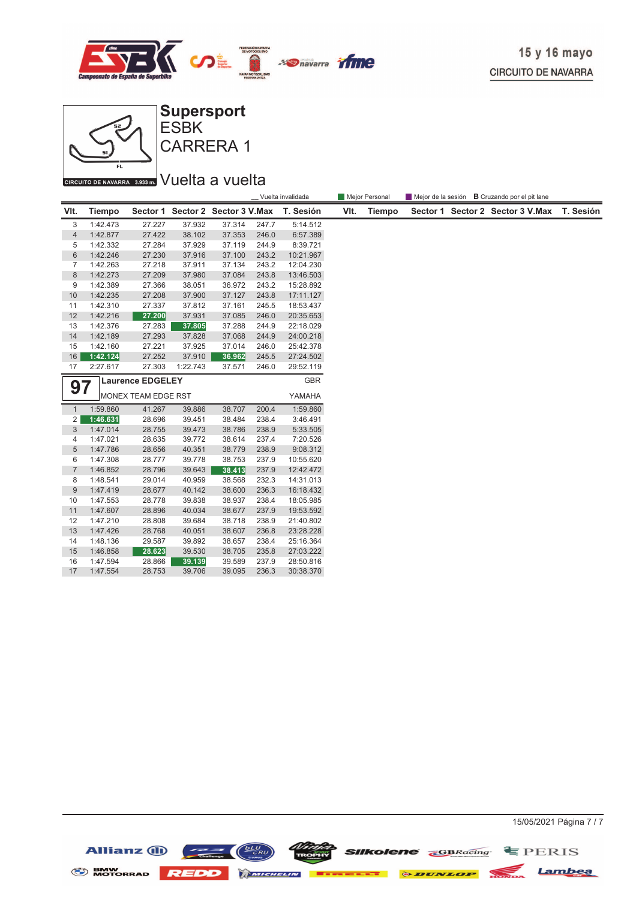



CARRERA 1 ESBK

#### CIRCUITO DE NAVARRA 3.933 m. VUelta a vuelta

|                               |               |                     |          |                                  |            | _ Vuelta invalidada | Mejor Personal<br>Mejor de la sesión <b>B</b> Cruzando por el pit lane |               |  |  |                                  |           |
|-------------------------------|---------------|---------------------|----------|----------------------------------|------------|---------------------|------------------------------------------------------------------------|---------------|--|--|----------------------------------|-----------|
| VIt.                          | <b>Tiempo</b> |                     |          | Sector 1 Sector 2 Sector 3 V.Max |            | T. Sesión           | VIt.                                                                   | <b>Tiempo</b> |  |  | Sector 1 Sector 2 Sector 3 V.Max | T. Sesión |
| 3                             | 1:42.473      | 27.227              | 37.932   | 37.314                           | 247.7      | 5:14.512            |                                                                        |               |  |  |                                  |           |
| $\overline{4}$                | 1:42.877      | 27.422              | 38.102   | 37.353                           | 246.0      | 6:57.389            |                                                                        |               |  |  |                                  |           |
| 5                             | 1:42.332      | 27.284              | 37.929   | 37.119                           | 244.9      | 8:39.721            |                                                                        |               |  |  |                                  |           |
| $6\phantom{1}6$               | 1:42.246      | 27.230              | 37.916   | 37.100                           | 243.2      | 10:21.967           |                                                                        |               |  |  |                                  |           |
| $\overline{7}$                | 1:42.263      | 27.218              | 37.911   | 37.134                           | 243.2      | 12:04.230           |                                                                        |               |  |  |                                  |           |
| 8                             | 1:42.273      | 27.209              | 37.980   | 37.084                           | 243.8      | 13:46.503           |                                                                        |               |  |  |                                  |           |
| 9                             | 1:42.389      | 27.366              | 38.051   | 36.972                           | 243.2      | 15:28.892           |                                                                        |               |  |  |                                  |           |
| 10                            | 1:42.235      | 27.208              | 37.900   | 37.127                           | 243.8      | 17:11.127           |                                                                        |               |  |  |                                  |           |
| 11                            | 1:42.310      | 27.337              | 37.812   | 37.161                           | 245.5      | 18:53.437           |                                                                        |               |  |  |                                  |           |
| 12                            | 1:42.216      | 27.200              | 37.931   | 37.085                           | 246.0      | 20:35.653           |                                                                        |               |  |  |                                  |           |
| 13                            | 1:42.376      | 27.283              | 37.805   | 37.288                           | 244.9      | 22:18.029           |                                                                        |               |  |  |                                  |           |
| 14                            | 1:42.189      | 27.293              | 37.828   | 37.068                           | 244.9      | 24:00.218           |                                                                        |               |  |  |                                  |           |
| 15                            | 1:42.160      | 27.221              | 37.925   | 37.014                           | 246.0      | 25:42.378           |                                                                        |               |  |  |                                  |           |
| 16                            | 1:42.124      | 27.252              | 37.910   | 36.962                           | 245.5      | 27:24.502           |                                                                        |               |  |  |                                  |           |
| 17                            | 2:27.617      | 27.303              | 1:22.743 | 37.571                           | 246.0      | 29:52.119           |                                                                        |               |  |  |                                  |           |
| <b>Laurence EDGELEY</b><br>97 |               |                     |          |                                  | <b>GBR</b> |                     |                                                                        |               |  |  |                                  |           |
|                               |               | MONEX TEAM EDGE RST |          |                                  |            | YAMAHA              |                                                                        |               |  |  |                                  |           |
| $\mathbf{1}$                  | 1:59.860      | 41.267              | 39.886   | 38.707                           | 200.4      | 1:59.860            |                                                                        |               |  |  |                                  |           |
| 2                             | 1:46.631      | 28.696              | 39.451   | 38.484                           | 238.4      | 3:46.491            |                                                                        |               |  |  |                                  |           |
| $\sqrt{3}$                    | 1:47.014      | 28.755              | 39.473   | 38.786                           | 238.9      | 5:33.505            |                                                                        |               |  |  |                                  |           |
| 4                             | 1:47.021      | 28.635              | 39.772   | 38.614                           | 237.4      | 7:20.526            |                                                                        |               |  |  |                                  |           |
| 5                             | 1:47.786      | 28.656              | 40.351   | 38.779                           | 238.9      | 9:08.312            |                                                                        |               |  |  |                                  |           |
| 6                             | 1:47.308      | 28.777              | 39.778   | 38.753                           | 237.9      | 10:55.620           |                                                                        |               |  |  |                                  |           |
| $\overline{7}$                | 1:46.852      | 28.796              | 39.643   | 38.413                           | 237.9      | 12:42.472           |                                                                        |               |  |  |                                  |           |
| 8                             | 1:48.541      | 29.014              | 40.959   | 38.568                           | 232.3      | 14:31.013           |                                                                        |               |  |  |                                  |           |
| 9                             | 1:47.419      | 28.677              | 40.142   | 38.600                           | 236.3      | 16:18.432           |                                                                        |               |  |  |                                  |           |
| 10                            | 1:47.553      | 28.778              | 39.838   | 38.937                           | 238.4      | 18:05.985           |                                                                        |               |  |  |                                  |           |
| 11                            | 1:47.607      | 28.896              | 40.034   | 38.677                           | 237.9      | 19:53.592           |                                                                        |               |  |  |                                  |           |
| 12                            | 1:47.210      | 28.808              | 39.684   | 38.718                           | 238.9      | 21:40.802           |                                                                        |               |  |  |                                  |           |
| 13                            | 1:47.426      | 28.768              | 40.051   | 38.607                           | 236.8      | 23:28.228           |                                                                        |               |  |  |                                  |           |
| 14                            | 1:48.136      | 29.587              | 39.892   | 38.657                           | 238.4      | 25:16.364           |                                                                        |               |  |  |                                  |           |
| 15                            | 1:46.858      | 28.623              | 39.530   | 38.705                           | 235.8      | 27:03.222           |                                                                        |               |  |  |                                  |           |
| 16                            | 1:47.594      | 28.866              | 39.139   | 39.589                           | 237.9      | 28:50.816           |                                                                        |               |  |  |                                  |           |
| 17                            | 1:47.554      | 28.753              | 39.706   | 39.095                           | 236.3      | 30:38.370           |                                                                        |               |  |  |                                  |           |



**COLOR SIIKOIENE GBRacing** EPERIS